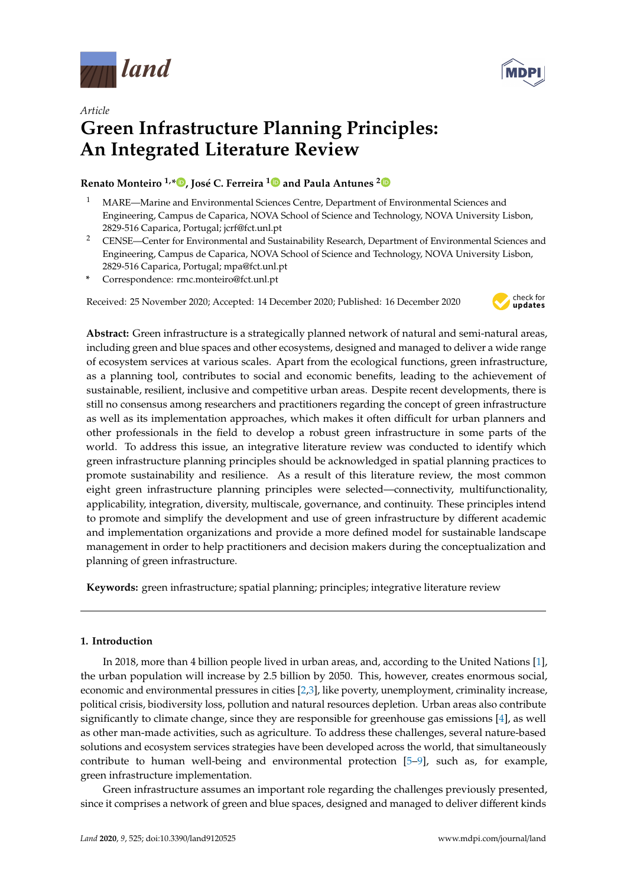



# *Article* **Green Infrastructure Planning Principles: An Integrated Literature Review**

# **Renato Monteiro 1,[\\*](https://orcid.org/0000-0002-3304-2800) , José C. Ferreira [1](https://orcid.org/0000-0001-7917-7252) and Paula Antunes [2](https://orcid.org/0000-0002-9461-2328)**

- <sup>1</sup> MARE—Marine and Environmental Sciences Centre, Department of Environmental Sciences and Engineering, Campus de Caparica, NOVA School of Science and Technology, NOVA University Lisbon, 2829-516 Caparica, Portugal; jcrf@fct.unl.pt
- <sup>2</sup> CENSE—Center for Environmental and Sustainability Research, Department of Environmental Sciences and Engineering, Campus de Caparica, NOVA School of Science and Technology, NOVA University Lisbon, 2829-516 Caparica, Portugal; mpa@fct.unl.pt
- **\*** Correspondence: rmc.monteiro@fct.unl.pt

Received: 25 November 2020; Accepted: 14 December 2020; Published: 16 December 2020



**Abstract:** Green infrastructure is a strategically planned network of natural and semi-natural areas, including green and blue spaces and other ecosystems, designed and managed to deliver a wide range of ecosystem services at various scales. Apart from the ecological functions, green infrastructure, as a planning tool, contributes to social and economic benefits, leading to the achievement of sustainable, resilient, inclusive and competitive urban areas. Despite recent developments, there is still no consensus among researchers and practitioners regarding the concept of green infrastructure as well as its implementation approaches, which makes it often difficult for urban planners and other professionals in the field to develop a robust green infrastructure in some parts of the world. To address this issue, an integrative literature review was conducted to identify which green infrastructure planning principles should be acknowledged in spatial planning practices to promote sustainability and resilience. As a result of this literature review, the most common eight green infrastructure planning principles were selected—connectivity, multifunctionality, applicability, integration, diversity, multiscale, governance, and continuity. These principles intend to promote and simplify the development and use of green infrastructure by different academic and implementation organizations and provide a more defined model for sustainable landscape management in order to help practitioners and decision makers during the conceptualization and planning of green infrastructure.

**Keywords:** green infrastructure; spatial planning; principles; integrative literature review

# **1. Introduction**

In 2018, more than 4 billion people lived in urban areas, and, according to the United Nations [\[1\]](#page-11-0), the urban population will increase by 2.5 billion by 2050. This, however, creates enormous social, economic and environmental pressures in cities [\[2,](#page-11-1)[3\]](#page-11-2), like poverty, unemployment, criminality increase, political crisis, biodiversity loss, pollution and natural resources depletion. Urban areas also contribute significantly to climate change, since they are responsible for greenhouse gas emissions [\[4\]](#page-11-3), as well as other man-made activities, such as agriculture. To address these challenges, several nature-based solutions and ecosystem services strategies have been developed across the world, that simultaneously contribute to human well-being and environmental protection [\[5](#page-11-4)[–9\]](#page-12-0), such as, for example, green infrastructure implementation.

Green infrastructure assumes an important role regarding the challenges previously presented, since it comprises a network of green and blue spaces, designed and managed to deliver different kinds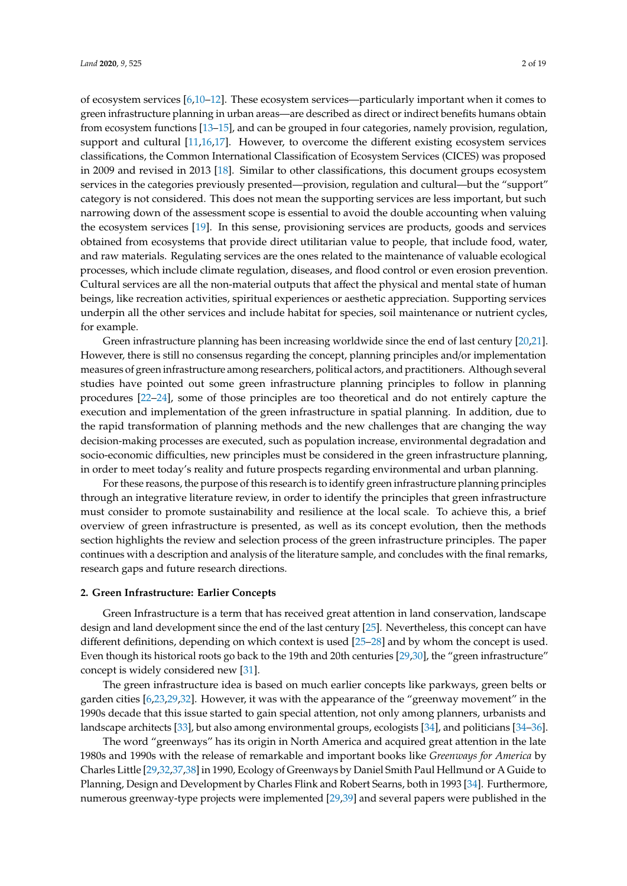of ecosystem services [\[6](#page-11-5)[,10–](#page-12-1)[12\]](#page-12-2). These ecosystem services—particularly important when it comes to green infrastructure planning in urban areas—are described as direct or indirect benefits humans obtain from ecosystem functions [\[13](#page-12-3)[–15\]](#page-12-4), and can be grouped in four categories, namely provision, regulation, support and cultural [\[11](#page-12-5)[,16](#page-12-6)[,17\]](#page-12-7). However, to overcome the different existing ecosystem services classifications, the Common International Classification of Ecosystem Services (CICES) was proposed in 2009 and revised in 2013 [\[18\]](#page-12-8). Similar to other classifications, this document groups ecosystem services in the categories previously presented—provision, regulation and cultural—but the "support" category is not considered. This does not mean the supporting services are less important, but such narrowing down of the assessment scope is essential to avoid the double accounting when valuing the ecosystem services [\[19\]](#page-12-9). In this sense, provisioning services are products, goods and services obtained from ecosystems that provide direct utilitarian value to people, that include food, water, and raw materials. Regulating services are the ones related to the maintenance of valuable ecological processes, which include climate regulation, diseases, and flood control or even erosion prevention. Cultural services are all the non-material outputs that affect the physical and mental state of human beings, like recreation activities, spiritual experiences or aesthetic appreciation. Supporting services underpin all the other services and include habitat for species, soil maintenance or nutrient cycles, for example.

Green infrastructure planning has been increasing worldwide since the end of last century [\[20](#page-12-10)[,21\]](#page-12-11). However, there is still no consensus regarding the concept, planning principles and/or implementation measures of green infrastructure among researchers, political actors, and practitioners. Although several studies have pointed out some green infrastructure planning principles to follow in planning procedures [\[22–](#page-12-12)[24\]](#page-12-13), some of those principles are too theoretical and do not entirely capture the execution and implementation of the green infrastructure in spatial planning. In addition, due to the rapid transformation of planning methods and the new challenges that are changing the way decision-making processes are executed, such as population increase, environmental degradation and socio-economic difficulties, new principles must be considered in the green infrastructure planning, in order to meet today's reality and future prospects regarding environmental and urban planning.

For these reasons, the purpose of this research is to identify green infrastructure planning principles through an integrative literature review, in order to identify the principles that green infrastructure must consider to promote sustainability and resilience at the local scale. To achieve this, a brief overview of green infrastructure is presented, as well as its concept evolution, then the methods section highlights the review and selection process of the green infrastructure principles. The paper continues with a description and analysis of the literature sample, and concludes with the final remarks, research gaps and future research directions.

### **2. Green Infrastructure: Earlier Concepts**

Green Infrastructure is a term that has received great attention in land conservation, landscape design and land development since the end of the last century [\[25\]](#page-12-14). Nevertheless, this concept can have different definitions, depending on which context is used [\[25](#page-12-14)[–28\]](#page-12-15) and by whom the concept is used. Even though its historical roots go back to the 19th and 20th centuries [\[29,](#page-12-16)[30\]](#page-12-17), the "green infrastructure" concept is widely considered new [\[31\]](#page-12-18).

The green infrastructure idea is based on much earlier concepts like parkways, green belts or garden cities [\[6](#page-11-5)[,23](#page-12-19)[,29](#page-12-16)[,32\]](#page-12-20). However, it was with the appearance of the "greenway movement" in the 1990s decade that this issue started to gain special attention, not only among planners, urbanists and landscape architects [\[33\]](#page-12-21), but also among environmental groups, ecologists [\[34\]](#page-13-0), and politicians [\[34–](#page-13-0)[36\]](#page-13-1).

The word "greenways" has its origin in North America and acquired great attention in the late 1980s and 1990s with the release of remarkable and important books like *Greenways for America* by Charles Little [\[29,](#page-12-16)[32](#page-12-20)[,37](#page-13-2)[,38\]](#page-13-3) in 1990, Ecology of Greenways by Daniel Smith Paul Hellmund or A Guide to Planning, Design and Development by Charles Flink and Robert Searns, both in 1993 [\[34\]](#page-13-0). Furthermore, numerous greenway-type projects were implemented [\[29,](#page-12-16)[39\]](#page-13-4) and several papers were published in the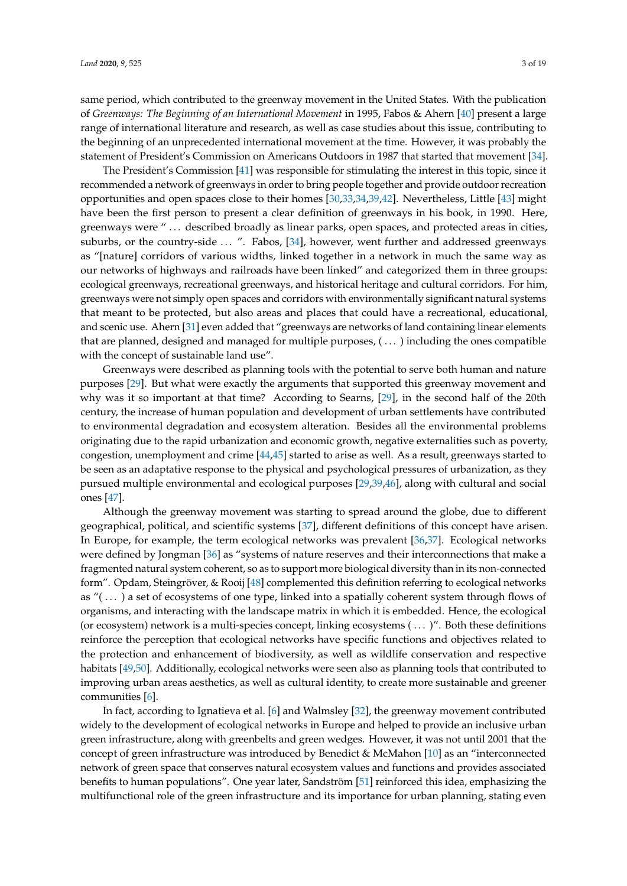same period, which contributed to the greenway movement in the United States. With the publication of *Greenways: The Beginning of an International Movement* in 1995, Fabos & Ahern [\[40\]](#page-13-5) present a large range of international literature and research, as well as case studies about this issue, contributing to the beginning of an unprecedented international movement at the time. However, it was probably the statement of President's Commission on Americans Outdoors in 1987 that started that movement [\[34\]](#page-13-0).

The President's Commission [\[41\]](#page-13-6) was responsible for stimulating the interest in this topic, since it recommended a network of greenways in order to bring people together and provide outdoor recreation opportunities and open spaces close to their homes [\[30,](#page-12-17)[33,](#page-12-21)[34,](#page-13-0)[39,](#page-13-4)[42\]](#page-13-7). Nevertheless, Little [\[43\]](#page-13-8) might have been the first person to present a clear definition of greenways in his book, in 1990. Here, greenways were " ... described broadly as linear parks, open spaces, and protected areas in cities, suburbs, or the country-side ... ". Fabos, [\[34\]](#page-13-0), however, went further and addressed greenways as "[nature] corridors of various widths, linked together in a network in much the same way as our networks of highways and railroads have been linked" and categorized them in three groups: ecological greenways, recreational greenways, and historical heritage and cultural corridors. For him, greenways were not simply open spaces and corridors with environmentally significant natural systems that meant to be protected, but also areas and places that could have a recreational, educational, and scenic use. Ahern [\[31\]](#page-12-18) even added that "greenways are networks of land containing linear elements that are planned, designed and managed for multiple purposes, ( . . . ) including the ones compatible with the concept of sustainable land use".

Greenways were described as planning tools with the potential to serve both human and nature purposes [\[29\]](#page-12-16). But what were exactly the arguments that supported this greenway movement and why was it so important at that time? According to Searns, [\[29\]](#page-12-16), in the second half of the 20th century, the increase of human population and development of urban settlements have contributed to environmental degradation and ecosystem alteration. Besides all the environmental problems originating due to the rapid urbanization and economic growth, negative externalities such as poverty, congestion, unemployment and crime [\[44,](#page-13-9)[45\]](#page-13-10) started to arise as well. As a result, greenways started to be seen as an adaptative response to the physical and psychological pressures of urbanization, as they pursued multiple environmental and ecological purposes [\[29](#page-12-16)[,39](#page-13-4)[,46\]](#page-13-11), along with cultural and social ones [\[47\]](#page-13-12).

Although the greenway movement was starting to spread around the globe, due to different geographical, political, and scientific systems [\[37\]](#page-13-2), different definitions of this concept have arisen. In Europe, for example, the term ecological networks was prevalent [\[36](#page-13-1)[,37\]](#page-13-2). Ecological networks were defined by Jongman [\[36\]](#page-13-1) as "systems of nature reserves and their interconnections that make a fragmented natural system coherent, so as to support more biological diversity than in its non-connected form". Opdam, Steingröver, & Rooij [\[48\]](#page-13-13) complemented this definition referring to ecological networks as "( . . . ) a set of ecosystems of one type, linked into a spatially coherent system through flows of organisms, and interacting with the landscape matrix in which it is embedded. Hence, the ecological (or ecosystem) network is a multi-species concept, linking ecosystems ( . . . )". Both these definitions reinforce the perception that ecological networks have specific functions and objectives related to the protection and enhancement of biodiversity, as well as wildlife conservation and respective habitats [\[49,](#page-13-14)[50\]](#page-13-15). Additionally, ecological networks were seen also as planning tools that contributed to improving urban areas aesthetics, as well as cultural identity, to create more sustainable and greener communities [\[6\]](#page-11-5).

In fact, according to Ignatieva et al. [\[6\]](#page-11-5) and Walmsley [\[32\]](#page-12-20), the greenway movement contributed widely to the development of ecological networks in Europe and helped to provide an inclusive urban green infrastructure, along with greenbelts and green wedges. However, it was not until 2001 that the concept of green infrastructure was introduced by Benedict & McMahon [\[10\]](#page-12-1) as an "interconnected network of green space that conserves natural ecosystem values and functions and provides associated benefits to human populations". One year later, Sandström [\[51\]](#page-13-16) reinforced this idea, emphasizing the multifunctional role of the green infrastructure and its importance for urban planning, stating even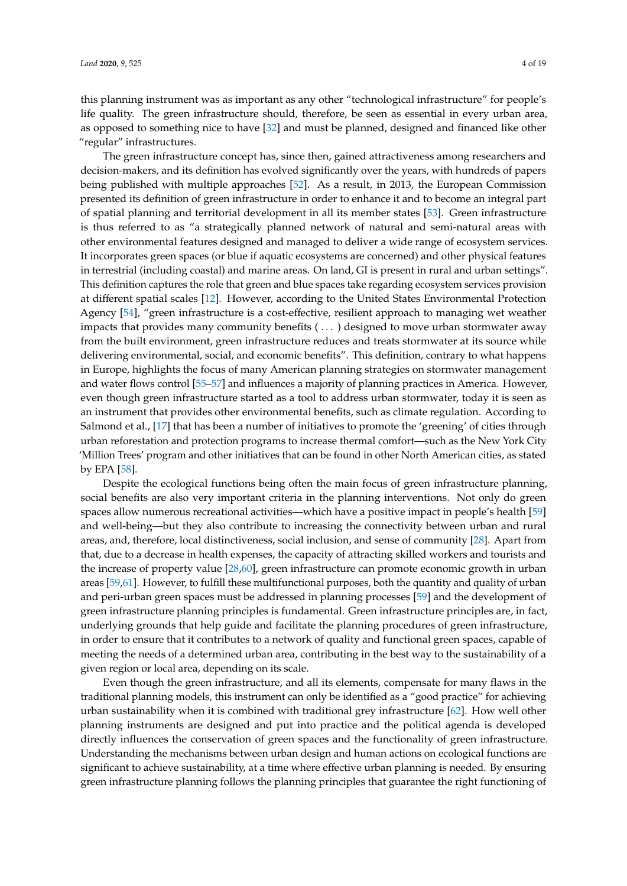this planning instrument was as important as any other "technological infrastructure" for people's life quality. The green infrastructure should, therefore, be seen as essential in every urban area, as opposed to something nice to have [\[32\]](#page-12-20) and must be planned, designed and financed like other "regular" infrastructures.

The green infrastructure concept has, since then, gained attractiveness among researchers and decision-makers, and its definition has evolved significantly over the years, with hundreds of papers being published with multiple approaches [\[52\]](#page-13-17). As a result, in 2013, the European Commission presented its definition of green infrastructure in order to enhance it and to become an integral part of spatial planning and territorial development in all its member states [\[53\]](#page-13-18). Green infrastructure is thus referred to as "a strategically planned network of natural and semi-natural areas with other environmental features designed and managed to deliver a wide range of ecosystem services. It incorporates green spaces (or blue if aquatic ecosystems are concerned) and other physical features in terrestrial (including coastal) and marine areas. On land, GI is present in rural and urban settings". This definition captures the role that green and blue spaces take regarding ecosystem services provision at different spatial scales [\[12\]](#page-12-2). However, according to the United States Environmental Protection Agency [\[54\]](#page-13-19), "green infrastructure is a cost-effective, resilient approach to managing wet weather impacts that provides many community benefits ( . . . ) designed to move urban stormwater away from the built environment, green infrastructure reduces and treats stormwater at its source while delivering environmental, social, and economic benefits". This definition, contrary to what happens in Europe, highlights the focus of many American planning strategies on stormwater management and water flows control [\[55–](#page-13-20)[57\]](#page-14-0) and influences a majority of planning practices in America. However, even though green infrastructure started as a tool to address urban stormwater, today it is seen as an instrument that provides other environmental benefits, such as climate regulation. According to Salmond et al., [\[17\]](#page-12-7) that has been a number of initiatives to promote the 'greening' of cities through urban reforestation and protection programs to increase thermal comfort—such as the New York City 'Million Trees' program and other initiatives that can be found in other North American cities, as stated by EPA [\[58\]](#page-14-1).

Despite the ecological functions being often the main focus of green infrastructure planning, social benefits are also very important criteria in the planning interventions. Not only do green spaces allow numerous recreational activities—which have a positive impact in people's health [\[59\]](#page-14-2) and well-being—but they also contribute to increasing the connectivity between urban and rural areas, and, therefore, local distinctiveness, social inclusion, and sense of community [\[28\]](#page-12-15). Apart from that, due to a decrease in health expenses, the capacity of attracting skilled workers and tourists and the increase of property value [\[28,](#page-12-15)[60\]](#page-14-3), green infrastructure can promote economic growth in urban areas [\[59,](#page-14-2)[61\]](#page-14-4). However, to fulfill these multifunctional purposes, both the quantity and quality of urban and peri-urban green spaces must be addressed in planning processes [\[59\]](#page-14-2) and the development of green infrastructure planning principles is fundamental. Green infrastructure principles are, in fact, underlying grounds that help guide and facilitate the planning procedures of green infrastructure, in order to ensure that it contributes to a network of quality and functional green spaces, capable of meeting the needs of a determined urban area, contributing in the best way to the sustainability of a given region or local area, depending on its scale.

Even though the green infrastructure, and all its elements, compensate for many flaws in the traditional planning models, this instrument can only be identified as a "good practice" for achieving urban sustainability when it is combined with traditional grey infrastructure [\[62\]](#page-14-5). How well other planning instruments are designed and put into practice and the political agenda is developed directly influences the conservation of green spaces and the functionality of green infrastructure. Understanding the mechanisms between urban design and human actions on ecological functions are significant to achieve sustainability, at a time where effective urban planning is needed. By ensuring green infrastructure planning follows the planning principles that guarantee the right functioning of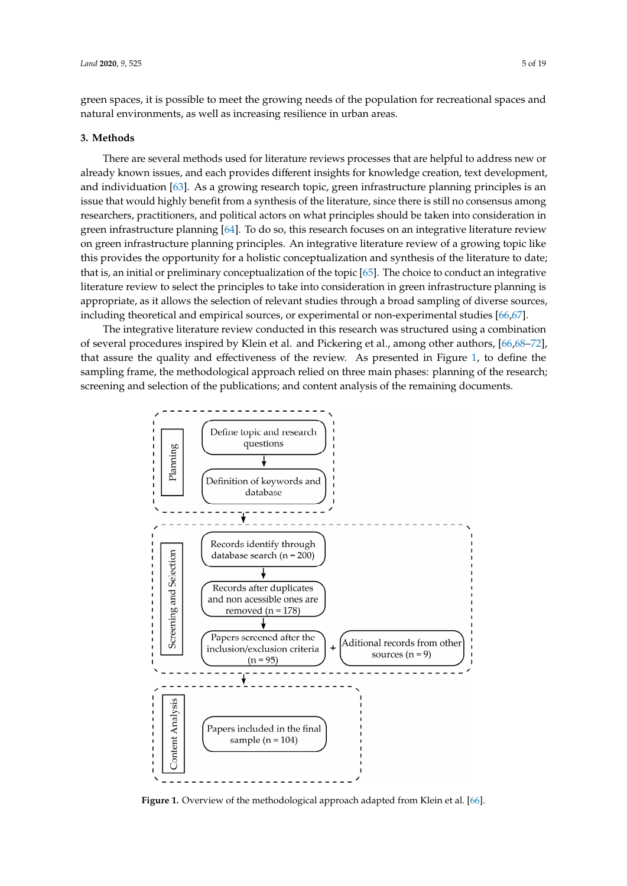green spaces, it is possible to meet the growing needs of the population for recreational spaces and natural environments, as well as increasing resilience in urban areas.

#### **3. Methods** *Latinue*

There are several methods used for literature reviews processes that are helpful to address new or **3. Methods**  already known issues, and each provides different insights for knowledge creation, text development, and individuation [\[63\]](#page-14-6). As a growing research topic, green infrastructure planning principles is an issue that would highly benefit from a synthesis of the literature, since there is still no consensus among researchers, practitioners, and political actors on what principles should be taken into consideration in green infrastructure planning [\[64\]](#page-14-7). To do so, this research focuses on an integrative literature review on green infrastructure planning principles. An integrative literature review of a growing topic like this provides the opportunity for a holistic conceptualization and synthesis of the literature to date; that is, an initial or preliminary conceptualization of the topic [\[65\]](#page-14-8). The choice to conduct an integrative literature review to select the principles to take into consideration in green infrastructure planning is appropriate, as it allows the selection of relevant studies through a broad sampling of diverse sources, including theoretical and empirical sources, or experimental or non-experimental studies  $[66,67]$  $[66,67]$ . sy at the literature to preliminary conceptualization of the topic [65]. The choice to contacte an integr

The integrative literature review conducted in this research was structured using a combination of several procedures inspired by Klein et al. and Pickering et al., among other authors, [66[,68](#page-14-11)-72], that assure the quality and effectiveness of the review. As presented in Figure [1,](#page-4-0) to define the sampling frame, the methodological approach relied on three main phases: planning of the research; screening and selection of the publications; and content analysis of the remaining documents.

<span id="page-4-0"></span>

Figure 1. Overview of the methodological approach adapted from Klein et al. [\[66\]](#page-14-9).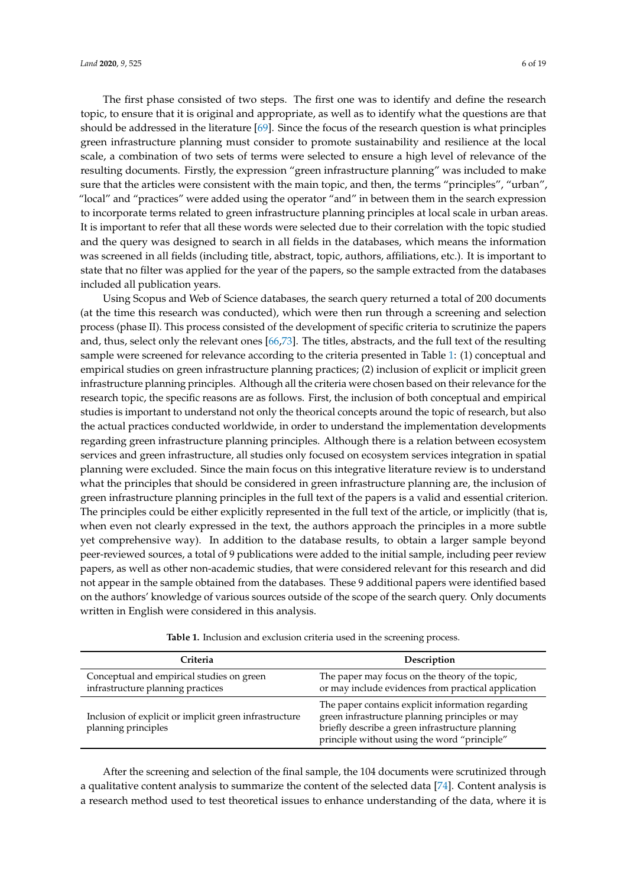The first phase consisted of two steps. The first one was to identify and define the research topic, to ensure that it is original and appropriate, as well as to identify what the questions are that should be addressed in the literature [\[69\]](#page-14-13). Since the focus of the research question is what principles green infrastructure planning must consider to promote sustainability and resilience at the local scale, a combination of two sets of terms were selected to ensure a high level of relevance of the resulting documents. Firstly, the expression "green infrastructure planning" was included to make sure that the articles were consistent with the main topic, and then, the terms "principles", "urban", "local" and "practices" were added using the operator "and" in between them in the search expression to incorporate terms related to green infrastructure planning principles at local scale in urban areas. It is important to refer that all these words were selected due to their correlation with the topic studied and the query was designed to search in all fields in the databases, which means the information was screened in all fields (including title, abstract, topic, authors, affiliations, etc.). It is important to state that no filter was applied for the year of the papers, so the sample extracted from the databases included all publication years.

Using Scopus and Web of Science databases, the search query returned a total of 200 documents (at the time this research was conducted), which were then run through a screening and selection process (phase II). This process consisted of the development of specific criteria to scrutinize the papers and, thus, select only the relevant ones [\[66,](#page-14-9)[73\]](#page-14-14). The titles, abstracts, and the full text of the resulting sample were screened for relevance according to the criteria presented in Table [1:](#page-5-0) (1) conceptual and empirical studies on green infrastructure planning practices; (2) inclusion of explicit or implicit green infrastructure planning principles. Although all the criteria were chosen based on their relevance for the research topic, the specific reasons are as follows. First, the inclusion of both conceptual and empirical studies is important to understand not only the theorical concepts around the topic of research, but also the actual practices conducted worldwide, in order to understand the implementation developments regarding green infrastructure planning principles. Although there is a relation between ecosystem services and green infrastructure, all studies only focused on ecosystem services integration in spatial planning were excluded. Since the main focus on this integrative literature review is to understand what the principles that should be considered in green infrastructure planning are, the inclusion of green infrastructure planning principles in the full text of the papers is a valid and essential criterion. The principles could be either explicitly represented in the full text of the article, or implicitly (that is, when even not clearly expressed in the text, the authors approach the principles in a more subtle yet comprehensive way). In addition to the database results, to obtain a larger sample beyond peer-reviewed sources, a total of 9 publications were added to the initial sample, including peer review papers, as well as other non-academic studies, that were considered relevant for this research and did not appear in the sample obtained from the databases. These 9 additional papers were identified based on the authors' knowledge of various sources outside of the scope of the search query. Only documents written in English were considered in this analysis.

<span id="page-5-0"></span>

| Criteria                                                                       | Description                                                                                                                                                                                              |
|--------------------------------------------------------------------------------|----------------------------------------------------------------------------------------------------------------------------------------------------------------------------------------------------------|
| Conceptual and empirical studies on green<br>infrastructure planning practices | The paper may focus on the theory of the topic,<br>or may include evidences from practical application                                                                                                   |
| Inclusion of explicit or implicit green infrastructure<br>planning principles  | The paper contains explicit information regarding<br>green infrastructure planning principles or may<br>briefly describe a green infrastructure planning<br>principle without using the word "principle" |

**Table 1.** Inclusion and exclusion criteria used in the screening process.

After the screening and selection of the final sample, the 104 documents were scrutinized through a qualitative content analysis to summarize the content of the selected data [\[74\]](#page-14-15). Content analysis is a research method used to test theoretical issues to enhance understanding of the data, where it is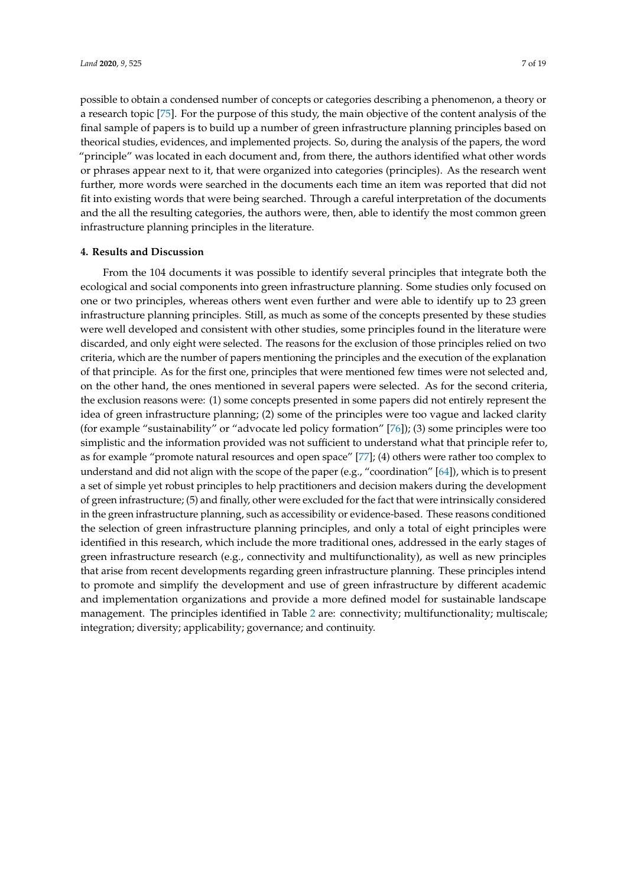possible to obtain a condensed number of concepts or categories describing a phenomenon, a theory or a research topic [\[75\]](#page-14-16). For the purpose of this study, the main objective of the content analysis of the final sample of papers is to build up a number of green infrastructure planning principles based on theorical studies, evidences, and implemented projects. So, during the analysis of the papers, the word "principle" was located in each document and, from there, the authors identified what other words or phrases appear next to it, that were organized into categories (principles). As the research went further, more words were searched in the documents each time an item was reported that did not fit into existing words that were being searched. Through a careful interpretation of the documents and the all the resulting categories, the authors were, then, able to identify the most common green infrastructure planning principles in the literature.

### **4. Results and Discussion**

From the 104 documents it was possible to identify several principles that integrate both the ecological and social components into green infrastructure planning. Some studies only focused on one or two principles, whereas others went even further and were able to identify up to 23 green infrastructure planning principles. Still, as much as some of the concepts presented by these studies were well developed and consistent with other studies, some principles found in the literature were discarded, and only eight were selected. The reasons for the exclusion of those principles relied on two criteria, which are the number of papers mentioning the principles and the execution of the explanation of that principle. As for the first one, principles that were mentioned few times were not selected and, on the other hand, the ones mentioned in several papers were selected. As for the second criteria, the exclusion reasons were: (1) some concepts presented in some papers did not entirely represent the idea of green infrastructure planning; (2) some of the principles were too vague and lacked clarity (for example "sustainability" or "advocate led policy formation" [\[76\]](#page-14-17)); (3) some principles were too simplistic and the information provided was not sufficient to understand what that principle refer to, as for example "promote natural resources and open space" [\[77\]](#page-14-18); (4) others were rather too complex to understand and did not align with the scope of the paper (e.g., "coordination" [\[64\]](#page-14-7)), which is to present a set of simple yet robust principles to help practitioners and decision makers during the development of green infrastructure; (5) and finally, other were excluded for the fact that were intrinsically considered in the green infrastructure planning, such as accessibility or evidence-based. These reasons conditioned the selection of green infrastructure planning principles, and only a total of eight principles were identified in this research, which include the more traditional ones, addressed in the early stages of green infrastructure research (e.g., connectivity and multifunctionality), as well as new principles that arise from recent developments regarding green infrastructure planning. These principles intend to promote and simplify the development and use of green infrastructure by different academic and implementation organizations and provide a more defined model for sustainable landscape management. The principles identified in Table [2](#page-8-0) are: connectivity; multifunctionality; multiscale; integration; diversity; applicability; governance; and continuity.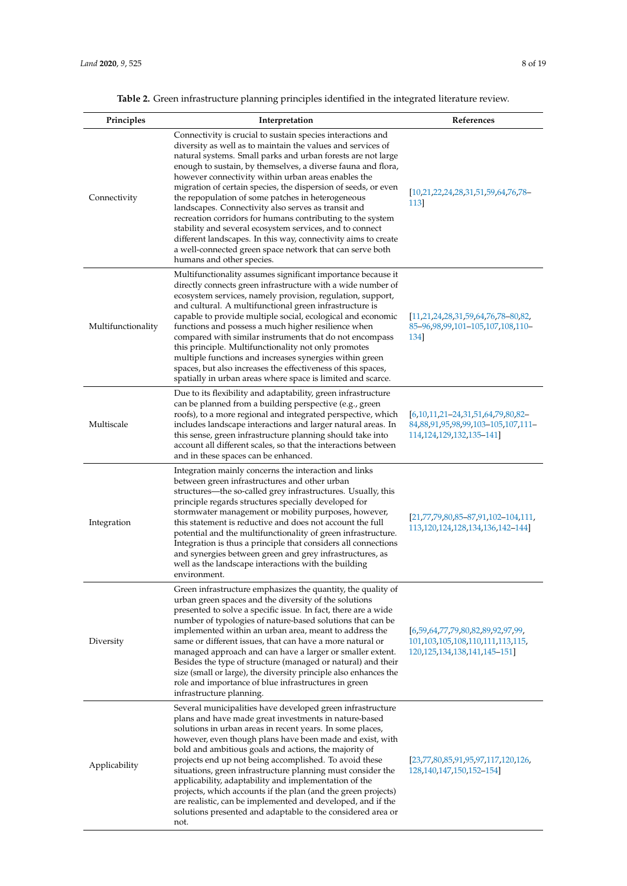| Principles         | Interpretation                                                                                                                                                                                                                                                                                                                                                                                                                                                                                                                                                                                                                                                                                                                                                                       | References                                                                                                        |
|--------------------|--------------------------------------------------------------------------------------------------------------------------------------------------------------------------------------------------------------------------------------------------------------------------------------------------------------------------------------------------------------------------------------------------------------------------------------------------------------------------------------------------------------------------------------------------------------------------------------------------------------------------------------------------------------------------------------------------------------------------------------------------------------------------------------|-------------------------------------------------------------------------------------------------------------------|
| Connectivity       | Connectivity is crucial to sustain species interactions and<br>diversity as well as to maintain the values and services of<br>natural systems. Small parks and urban forests are not large<br>enough to sustain, by themselves, a diverse fauna and flora,<br>however connectivity within urban areas enables the<br>migration of certain species, the dispersion of seeds, or even<br>the repopulation of some patches in heterogeneous<br>landscapes. Connectivity also serves as transit and<br>recreation corridors for humans contributing to the system<br>stability and several ecosystem services, and to connect<br>different landscapes. In this way, connectivity aims to create<br>a well-connected green space network that can serve both<br>humans and other species. | [10,21,22,24,28,31,51,59,64,76,78]<br>113                                                                         |
| Multifunctionality | Multifunctionality assumes significant importance because it<br>directly connects green infrastructure with a wide number of<br>ecosystem services, namely provision, regulation, support,<br>and cultural. A multifunctional green infrastructure is<br>capable to provide multiple social, ecological and economic<br>functions and possess a much higher resilience when<br>compared with similar instruments that do not encompass<br>this principle. Multifunctionality not only promotes<br>multiple functions and increases synergies within green<br>spaces, but also increases the effectiveness of this spaces,<br>spatially in urban areas where space is limited and scarce.                                                                                             | $[11, 21, 24, 28, 31, 59, 64, 76, 78, 80, 82,$<br>85-96, 98, 99, 101-105, 107, 108, 110-<br>134                   |
| Multiscale         | Due to its flexibility and adaptability, green infrastructure<br>can be planned from a building perspective (e.g., green<br>roofs), to a more regional and integrated perspective, which<br>includes landscape interactions and larger natural areas. In<br>this sense, green infrastructure planning should take into<br>account all different scales, so that the interactions between<br>and in these spaces can be enhanced.                                                                                                                                                                                                                                                                                                                                                     | $[6,10,11,21-24,31,51,64,79,80,82-$<br>84,88,91,95,98,99,103-105,107,111-<br>114, 124, 129, 132, 135–141]         |
| Integration        | Integration mainly concerns the interaction and links<br>between green infrastructures and other urban<br>structures—the so-called grey infrastructures. Usually, this<br>principle regards structures specially developed for<br>stormwater management or mobility purposes, however,<br>this statement is reductive and does not account the full<br>potential and the multifunctionality of green infrastructure.<br>Integration is thus a principle that considers all connections<br>and synergies between green and grey infrastructures, as<br>well as the landscape interactions with the building<br>environment.                                                                                                                                                           | $[21,77,79,80,85-87,91,102-104,111]$<br>113, 120, 124, 128, 134, 136, 142–144]                                    |
| Diversity          | Green infrastructure emphasizes the quantity, the quality of<br>urban green spaces and the diversity of the solutions<br>presented to solve a specific issue. In fact, there are a wide<br>number of typologies of nature-based solutions that can be<br>implemented within an urban area, meant to address the<br>same or different issues, that can have a more natural or<br>managed approach and can have a larger or smaller extent.<br>Besides the type of structure (managed or natural) and their<br>size (small or large), the diversity principle also enhances the<br>role and importance of blue infrastructures in green<br>infrastructure planning.                                                                                                                    | [6,59,64,77,79,80,82,89,92,97,99]<br>101, 103, 105, 108, 110, 111, 113, 115,<br>120, 125, 134, 138, 141, 145–151] |
| Applicability      | Several municipalities have developed green infrastructure<br>plans and have made great investments in nature-based<br>solutions in urban areas in recent years. In some places,<br>however, even though plans have been made and exist, with<br>bold and ambitious goals and actions, the majority of<br>projects end up not being accomplished. To avoid these<br>situations, green infrastructure planning must consider the<br>applicability, adaptability and implementation of the<br>projects, which accounts if the plan (and the green projects)<br>are realistic, can be implemented and developed, and if the<br>solutions presented and adaptable to the considered area or<br>not.                                                                                      | [23,77,80,85,91,95,97,117,120,126,<br>128, 140, 147, 150, 152–154]                                                |

# **Table 2.** Green infrastructure planning principles identified in the integrated literature review.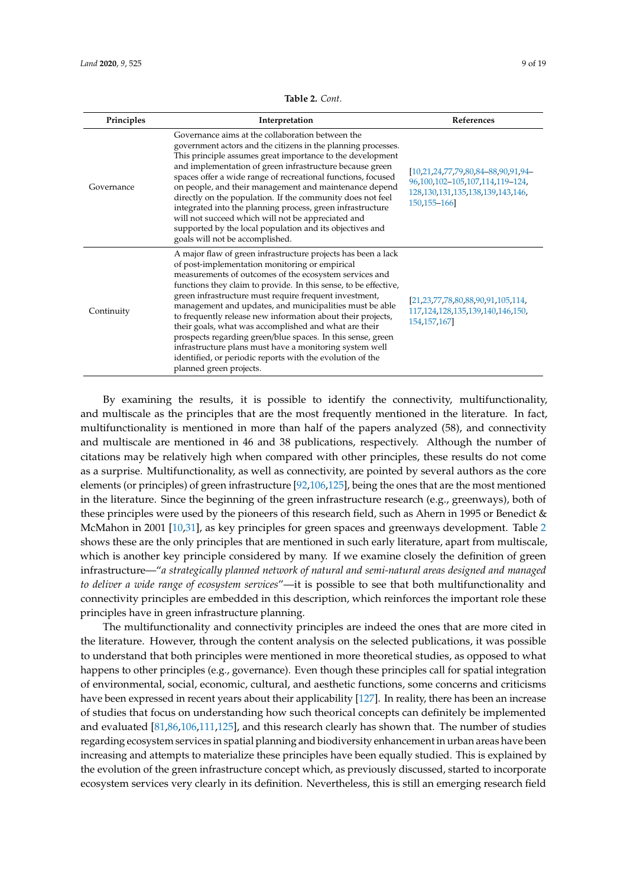<span id="page-8-0"></span>

| Principles | Interpretation                                                                                                                                                                                                                                                                                                                                                                                                                                                                                                                                                                                                                                                                                               | References                                                                                                                              |
|------------|--------------------------------------------------------------------------------------------------------------------------------------------------------------------------------------------------------------------------------------------------------------------------------------------------------------------------------------------------------------------------------------------------------------------------------------------------------------------------------------------------------------------------------------------------------------------------------------------------------------------------------------------------------------------------------------------------------------|-----------------------------------------------------------------------------------------------------------------------------------------|
| Governance | Governance aims at the collaboration between the<br>government actors and the citizens in the planning processes.<br>This principle assumes great importance to the development<br>and implementation of green infrastructure because green<br>spaces offer a wide range of recreational functions, focused<br>on people, and their management and maintenance depend<br>directly on the population. If the community does not feel<br>integrated into the planning process, green infrastructure<br>will not succeed which will not be appreciated and<br>supported by the local population and its objectives and<br>goals will not be accomplished.                                                       | [10,21,24,77,79,80,84-88,90,91,94-<br>96, 100, 102-105, 107, 114, 119-124,<br>128, 130, 131, 135, 138, 139, 143, 146,<br>150, 155 - 166 |
| Continuity | A major flaw of green infrastructure projects has been a lack<br>of post-implementation monitoring or empirical<br>measurements of outcomes of the ecosystem services and<br>functions they claim to provide. In this sense, to be effective,<br>green infrastructure must require frequent investment,<br>management and updates, and municipalities must be able<br>to frequently release new information about their projects,<br>their goals, what was accomplished and what are their<br>prospects regarding green/blue spaces. In this sense, green<br>infrastructure plans must have a monitoring system well<br>identified, or periodic reports with the evolution of the<br>planned green projects. | [21,23,77,78,80,88,90,91,105,114,<br>117, 124, 128, 135, 139, 140, 146, 150,<br>154, 157, 167]                                          |

**Table 2.** *Cont.*

By examining the results, it is possible to identify the connectivity, multifunctionality, and multiscale as the principles that are the most frequently mentioned in the literature. In fact, multifunctionality is mentioned in more than half of the papers analyzed (58), and connectivity and multiscale are mentioned in 46 and 38 publications, respectively. Although the number of citations may be relatively high when compared with other principles, these results do not come as a surprise. Multifunctionality, as well as connectivity, are pointed by several authors as the core elements (or principles) of green infrastructure [\[92](#page-15-15)[,106,](#page-16-14)[125\]](#page-16-10), being the ones that are the most mentioned in the literature. Since the beginning of the green infrastructure research (e.g., greenways), both of these principles were used by the pioneers of this research field, such as Ahern in 1995 or Benedict & McMahon in 2001 [\[10,](#page-12-1)[31\]](#page-12-18), as key principles for green spaces and greenways development. Table [2](#page-8-0) shows these are the only principles that are mentioned in such early literature, apart from multiscale, which is another key principle considered by many. If we examine closely the definition of green infrastructure—"*a strategically planned network of natural and semi-natural areas designed and managed to deliver a wide range of ecosystem services*"—it is possible to see that both multifunctionality and connectivity principles are embedded in this description, which reinforces the important role these principles have in green infrastructure planning.

The multifunctionality and connectivity principles are indeed the ones that are more cited in the literature. However, through the content analysis on the selected publications, it was possible to understand that both principles were mentioned in more theoretical studies, as opposed to what happens to other principles (e.g., governance). Even though these principles call for spatial integration of environmental, social, economic, cultural, and aesthetic functions, some concerns and criticisms have been expressed in recent years about their applicability [\[127\]](#page-17-19). In reality, there has been an increase of studies that focus on understanding how such theorical concepts can definitely be implemented and evaluated [\[81,](#page-14-22)[86,](#page-15-20)[106,](#page-16-14)[111,](#page-16-5)[125\]](#page-16-10), and this research clearly has shown that. The number of studies regarding ecosystem services in spatial planning and biodiversity enhancement in urban areas have been increasing and attempts to materialize these principles have been equally studied. This is explained by the evolution of the green infrastructure concept which, as previously discussed, started to incorporate ecosystem services very clearly in its definition. Nevertheless, this is still an emerging research field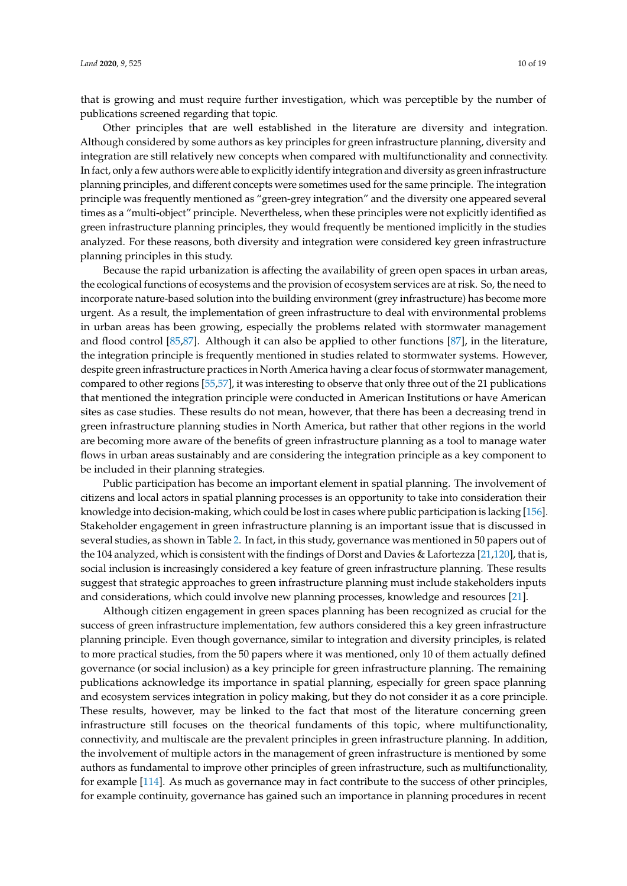that is growing and must require further investigation, which was perceptible by the number of publications screened regarding that topic.

Other principles that are well established in the literature are diversity and integration. Although considered by some authors as key principles for green infrastructure planning, diversity and integration are still relatively new concepts when compared with multifunctionality and connectivity. In fact, only a few authors were able to explicitly identify integration and diversity as green infrastructure planning principles, and different concepts were sometimes used for the same principle. The integration principle was frequently mentioned as "green-grey integration" and the diversity one appeared several times as a "multi-object" principle. Nevertheless, when these principles were not explicitly identified as green infrastructure planning principles, they would frequently be mentioned implicitly in the studies analyzed. For these reasons, both diversity and integration were considered key green infrastructure planning principles in this study.

Because the rapid urbanization is affecting the availability of green open spaces in urban areas, the ecological functions of ecosystems and the provision of ecosystem services are at risk. So, the need to incorporate nature-based solution into the building environment (grey infrastructure) has become more urgent. As a result, the implementation of green infrastructure to deal with environmental problems in urban areas has been growing, especially the problems related with stormwater management and flood control [\[85](#page-15-1)[,87\]](#page-15-11). Although it can also be applied to other functions [\[87\]](#page-15-11), in the literature, the integration principle is frequently mentioned in studies related to stormwater systems. However, despite green infrastructure practices in North America having a clear focus of stormwater management, compared to other regions [\[55](#page-13-20)[,57\]](#page-14-0), it was interesting to observe that only three out of the 21 publications that mentioned the integration principle were conducted in American Institutions or have American sites as case studies. These results do not mean, however, that there has been a decreasing trend in green infrastructure planning studies in North America, but rather that other regions in the world are becoming more aware of the benefits of green infrastructure planning as a tool to manage water flows in urban areas sustainably and are considering the integration principle as a key component to be included in their planning strategies.

Public participation has become an important element in spatial planning. The involvement of citizens and local actors in spatial planning processes is an opportunity to take into consideration their knowledge into decision-making, which could be lost in cases where public participation is lacking [\[156\]](#page-18-7). Stakeholder engagement in green infrastructure planning is an important issue that is discussed in several studies, as shown in Table [2.](#page-8-0) In fact, in this study, governance was mentioned in 50 papers out of the 104 analyzed, which is consistent with the findings of Dorst and Davies & Lafortezza [\[21,](#page-12-11)[120\]](#page-16-8), that is, social inclusion is increasingly considered a key feature of green infrastructure planning. These results suggest that strategic approaches to green infrastructure planning must include stakeholders inputs and considerations, which could involve new planning processes, knowledge and resources [\[21\]](#page-12-11).

Although citizen engagement in green spaces planning has been recognized as crucial for the success of green infrastructure implementation, few authors considered this a key green infrastructure planning principle. Even though governance, similar to integration and diversity principles, is related to more practical studies, from the 50 papers where it was mentioned, only 10 of them actually defined governance (or social inclusion) as a key principle for green infrastructure planning. The remaining publications acknowledge its importance in spatial planning, especially for green space planning and ecosystem services integration in policy making, but they do not consider it as a core principle. These results, however, may be linked to the fact that most of the literature concerning green infrastructure still focuses on the theorical fundaments of this topic, where multifunctionality, connectivity, and multiscale are the prevalent principles in green infrastructure planning. In addition, the involvement of multiple actors in the management of green infrastructure is mentioned by some authors as fundamental to improve other principles of green infrastructure, such as multifunctionality, for example [\[114\]](#page-16-6). As much as governance may in fact contribute to the success of other principles, for example continuity, governance has gained such an importance in planning procedures in recent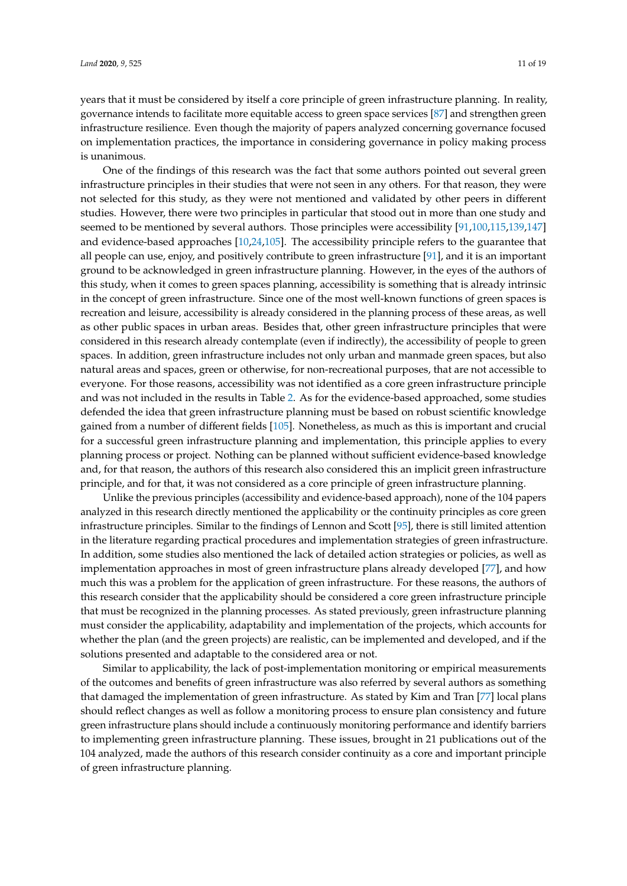years that it must be considered by itself a core principle of green infrastructure planning. In reality, governance intends to facilitate more equitable access to green space services [\[87\]](#page-15-11) and strengthen green infrastructure resilience. Even though the majority of papers analyzed concerning governance focused on implementation practices, the importance in considering governance in policy making process is unanimous.

One of the findings of this research was the fact that some authors pointed out several green infrastructure principles in their studies that were not seen in any others. For that reason, they were not selected for this study, as they were not mentioned and validated by other peers in different studies. However, there were two principles in particular that stood out in more than one study and seemed to be mentioned by several authors. Those principles were accessibility [\[91,](#page-15-8)[100,](#page-15-19)[115](#page-16-9)[,139](#page-17-16)[,147\]](#page-17-12) and evidence-based approaches [\[10](#page-12-1)[,24](#page-12-13)[,105\]](#page-16-1). The accessibility principle refers to the guarantee that all people can use, enjoy, and positively contribute to green infrastructure [\[91\]](#page-15-8), and it is an important ground to be acknowledged in green infrastructure planning. However, in the eyes of the authors of this study, when it comes to green spaces planning, accessibility is something that is already intrinsic in the concept of green infrastructure. Since one of the most well-known functions of green spaces is recreation and leisure, accessibility is already considered in the planning process of these areas, as well as other public spaces in urban areas. Besides that, other green infrastructure principles that were considered in this research already contemplate (even if indirectly), the accessibility of people to green spaces. In addition, green infrastructure includes not only urban and manmade green spaces, but also natural areas and spaces, green or otherwise, for non-recreational purposes, that are not accessible to everyone. For those reasons, accessibility was not identified as a core green infrastructure principle and was not included in the results in Table [2.](#page-8-0) As for the evidence-based approached, some studies defended the idea that green infrastructure planning must be based on robust scientific knowledge gained from a number of different fields [\[105\]](#page-16-1). Nonetheless, as much as this is important and crucial for a successful green infrastructure planning and implementation, this principle applies to every planning process or project. Nothing can be planned without sufficient evidence-based knowledge and, for that reason, the authors of this research also considered this an implicit green infrastructure principle, and for that, it was not considered as a core principle of green infrastructure planning.

Unlike the previous principles (accessibility and evidence-based approach), none of the 104 papers analyzed in this research directly mentioned the applicability or the continuity principles as core green infrastructure principles. Similar to the findings of Lennon and Scott [\[95\]](#page-15-9), there is still limited attention in the literature regarding practical procedures and implementation strategies of green infrastructure. In addition, some studies also mentioned the lack of detailed action strategies or policies, as well as implementation approaches in most of green infrastructure plans already developed [\[77\]](#page-14-18), and how much this was a problem for the application of green infrastructure. For these reasons, the authors of this research consider that the applicability should be considered a core green infrastructure principle that must be recognized in the planning processes. As stated previously, green infrastructure planning must consider the applicability, adaptability and implementation of the projects, which accounts for whether the plan (and the green projects) are realistic, can be implemented and developed, and if the solutions presented and adaptable to the considered area or not.

Similar to applicability, the lack of post-implementation monitoring or empirical measurements of the outcomes and benefits of green infrastructure was also referred by several authors as something that damaged the implementation of green infrastructure. As stated by Kim and Tran [\[77\]](#page-14-18) local plans should reflect changes as well as follow a monitoring process to ensure plan consistency and future green infrastructure plans should include a continuously monitoring performance and identify barriers to implementing green infrastructure planning. These issues, brought in 21 publications out of the 104 analyzed, made the authors of this research consider continuity as a core and important principle of green infrastructure planning.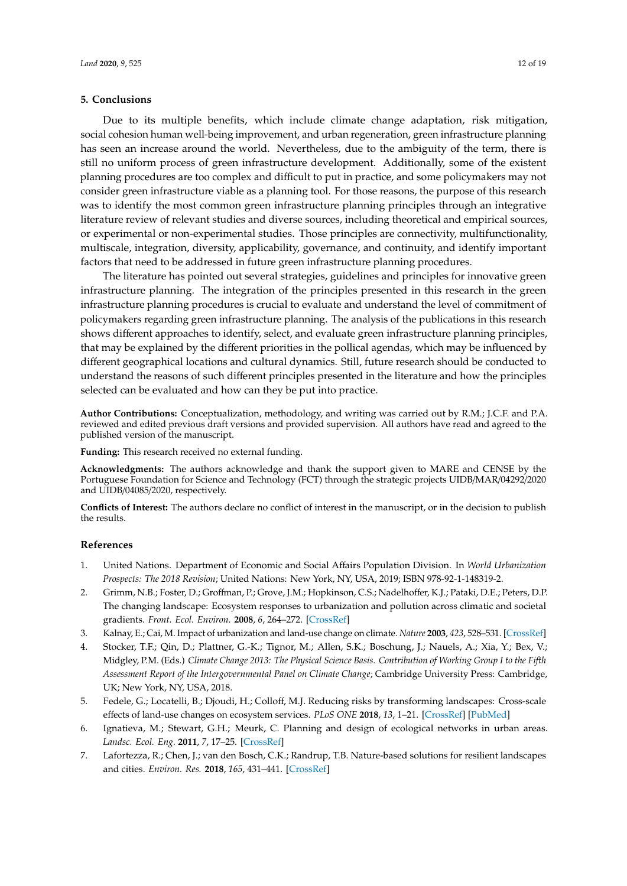## **5. Conclusions**

Due to its multiple benefits, which include climate change adaptation, risk mitigation, social cohesion human well-being improvement, and urban regeneration, green infrastructure planning has seen an increase around the world. Nevertheless, due to the ambiguity of the term, there is still no uniform process of green infrastructure development. Additionally, some of the existent planning procedures are too complex and difficult to put in practice, and some policymakers may not consider green infrastructure viable as a planning tool. For those reasons, the purpose of this research was to identify the most common green infrastructure planning principles through an integrative literature review of relevant studies and diverse sources, including theoretical and empirical sources, or experimental or non-experimental studies. Those principles are connectivity, multifunctionality, multiscale, integration, diversity, applicability, governance, and continuity, and identify important factors that need to be addressed in future green infrastructure planning procedures.

The literature has pointed out several strategies, guidelines and principles for innovative green infrastructure planning. The integration of the principles presented in this research in the green infrastructure planning procedures is crucial to evaluate and understand the level of commitment of policymakers regarding green infrastructure planning. The analysis of the publications in this research shows different approaches to identify, select, and evaluate green infrastructure planning principles, that may be explained by the different priorities in the pollical agendas, which may be influenced by different geographical locations and cultural dynamics. Still, future research should be conducted to understand the reasons of such different principles presented in the literature and how the principles selected can be evaluated and how can they be put into practice.

**Author Contributions:** Conceptualization, methodology, and writing was carried out by R.M.; J.C.F. and P.A. reviewed and edited previous draft versions and provided supervision. All authors have read and agreed to the published version of the manuscript.

**Funding:** This research received no external funding.

**Acknowledgments:** The authors acknowledge and thank the support given to MARE and CENSE by the Portuguese Foundation for Science and Technology (FCT) through the strategic projects UIDB/MAR/04292/2020 and UIDB/04085/2020, respectively.

**Conflicts of Interest:** The authors declare no conflict of interest in the manuscript, or in the decision to publish the results.

## **References**

- <span id="page-11-0"></span>1. United Nations. Department of Economic and Social Affairs Population Division. In *World Urbanization Prospects: The 2018 Revision*; United Nations: New York, NY, USA, 2019; ISBN 978-92-1-148319-2.
- <span id="page-11-1"></span>2. Grimm, N.B.; Foster, D.; Groffman, P.; Grove, J.M.; Hopkinson, C.S.; Nadelhoffer, K.J.; Pataki, D.E.; Peters, D.P. The changing landscape: Ecosystem responses to urbanization and pollution across climatic and societal gradients. *Front. Ecol. Environ.* **2008**, *6*, 264–272. [\[CrossRef\]](http://dx.doi.org/10.1890/070147)
- <span id="page-11-2"></span>3. Kalnay, E.; Cai, M. Impact of urbanization and land-use change on climate. *Nature* **2003**, *423*, 528–531. [\[CrossRef\]](http://dx.doi.org/10.1038/nature01675)
- <span id="page-11-3"></span>4. Stocker, T.F.; Qin, D.; Plattner, G.-K.; Tignor, M.; Allen, S.K.; Boschung, J.; Nauels, A.; Xia, Y.; Bex, V.; Midgley, P.M. (Eds.) *Climate Change 2013: The Physical Science Basis. Contribution of Working Group I to the Fifth Assessment Report of the Intergovernmental Panel on Climate Change*; Cambridge University Press: Cambridge, UK; New York, NY, USA, 2018.
- <span id="page-11-4"></span>5. Fedele, G.; Locatelli, B.; Djoudi, H.; Colloff, M.J. Reducing risks by transforming landscapes: Cross-scale effects of land-use changes on ecosystem services. *PLoS ONE* **2018**, *13*, 1–21. [\[CrossRef\]](http://dx.doi.org/10.1371/journal.pone.0195895) [\[PubMed\]](http://www.ncbi.nlm.nih.gov/pubmed/29689062)
- <span id="page-11-5"></span>6. Ignatieva, M.; Stewart, G.H.; Meurk, C. Planning and design of ecological networks in urban areas. *Landsc. Ecol. Eng.* **2011**, *7*, 17–25. [\[CrossRef\]](http://dx.doi.org/10.1007/s11355-010-0143-y)
- 7. Lafortezza, R.; Chen, J.; van den Bosch, C.K.; Randrup, T.B. Nature-based solutions for resilient landscapes and cities. *Environ. Res.* **2018**, *165*, 431–441. [\[CrossRef\]](http://dx.doi.org/10.1016/j.envres.2017.11.038)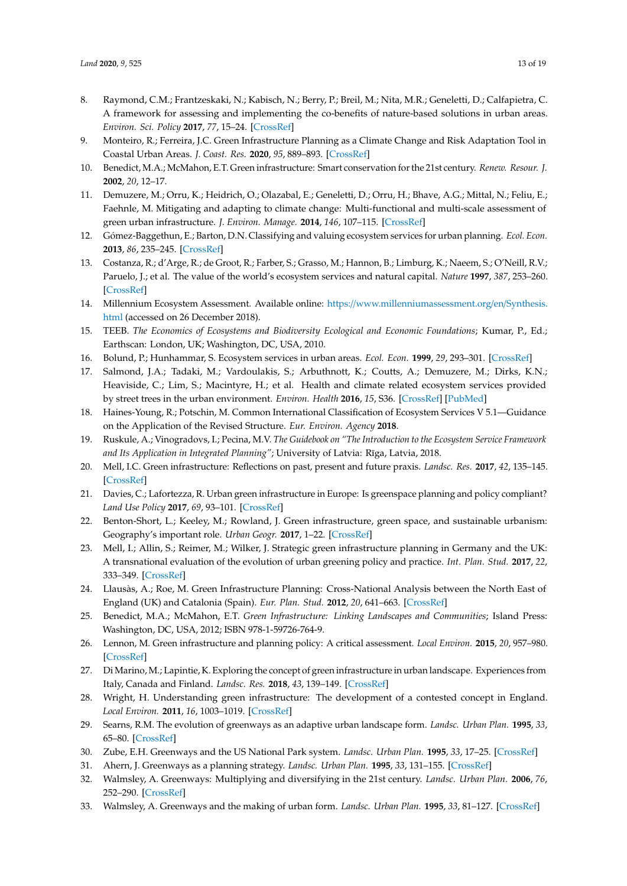- 8. Raymond, C.M.; Frantzeskaki, N.; Kabisch, N.; Berry, P.; Breil, M.; Nita, M.R.; Geneletti, D.; Calfapietra, C. A framework for assessing and implementing the co-benefits of nature-based solutions in urban areas. *Environ. Sci. Policy* **2017**, *77*, 15–24. [\[CrossRef\]](http://dx.doi.org/10.1016/j.envsci.2017.07.008)
- <span id="page-12-0"></span>9. Monteiro, R.; Ferreira, J.C. Green Infrastructure Planning as a Climate Change and Risk Adaptation Tool in Coastal Urban Areas. *J. Coast. Res.* **2020**, *95*, 889–893. [\[CrossRef\]](http://dx.doi.org/10.2112/SI95-173.1)
- <span id="page-12-1"></span>10. Benedict, M.A.; McMahon, E.T. Green infrastructure: Smart conservation for the 21st century. *Renew. Resour. J.* **2002**, *20*, 12–17.
- <span id="page-12-5"></span>11. Demuzere, M.; Orru, K.; Heidrich, O.; Olazabal, E.; Geneletti, D.; Orru, H.; Bhave, A.G.; Mittal, N.; Feliu, E.; Faehnle, M. Mitigating and adapting to climate change: Multi-functional and multi-scale assessment of green urban infrastructure. *J. Environ. Manage.* **2014**, *146*, 107–115. [\[CrossRef\]](http://dx.doi.org/10.1016/j.jenvman.2014.07.025)
- <span id="page-12-2"></span>12. Gómez-Baggethun, E.; Barton, D.N. Classifying and valuing ecosystem services for urban planning. *Ecol. Econ.* **2013**, *86*, 235–245. [\[CrossRef\]](http://dx.doi.org/10.1016/j.ecolecon.2012.08.019)
- <span id="page-12-3"></span>13. Costanza, R.; d'Arge, R.; de Groot, R.; Farber, S.; Grasso, M.; Hannon, B.; Limburg, K.; Naeem, S.; O'Neill, R.V.; Paruelo, J.; et al. The value of the world's ecosystem services and natural capital. *Nature* **1997**, *387*, 253–260. [\[CrossRef\]](http://dx.doi.org/10.1038/387253a0)
- 14. Millennium Ecosystem Assessment. Available online: https://[www.millenniumassessment.org](https://www.millenniumassessment.org/en/Synthesis.html)/en/Synthesis. [html](https://www.millenniumassessment.org/en/Synthesis.html) (accessed on 26 December 2018).
- <span id="page-12-4"></span>15. TEEB. *The Economics of Ecosystems and Biodiversity Ecological and Economic Foundations*; Kumar, P., Ed.; Earthscan: London, UK; Washington, DC, USA, 2010.
- <span id="page-12-6"></span>16. Bolund, P.; Hunhammar, S. Ecosystem services in urban areas. *Ecol. Econ.* **1999**, *29*, 293–301. [\[CrossRef\]](http://dx.doi.org/10.1016/S0921-8009(99)00013-0)
- <span id="page-12-7"></span>17. Salmond, J.A.; Tadaki, M.; Vardoulakis, S.; Arbuthnott, K.; Coutts, A.; Demuzere, M.; Dirks, K.N.; Heaviside, C.; Lim, S.; Macintyre, H.; et al. Health and climate related ecosystem services provided by street trees in the urban environment. *Environ. Health* **2016**, *15*, S36. [\[CrossRef\]](http://dx.doi.org/10.1186/s12940-016-0103-6) [\[PubMed\]](http://www.ncbi.nlm.nih.gov/pubmed/26961700)
- <span id="page-12-8"></span>18. Haines-Young, R.; Potschin, M. Common International Classification of Ecosystem Services V 5.1—Guidance on the Application of the Revised Structure. *Eur. Environ. Agency* **2018**.
- <span id="page-12-9"></span>19. Ruskule, A.; Vinogradovs, I.; Pecina, M.V. *The Guidebook on "The Introduction to the Ecosystem Service Framework* and Its Application in Integrated Planning"; University of Latvia: Rīga, Latvia, 2018.
- <span id="page-12-10"></span>20. Mell, I.C. Green infrastructure: Reflections on past, present and future praxis. *Landsc. Res.* **2017**, *42*, 135–145. [\[CrossRef\]](http://dx.doi.org/10.1080/01426397.2016.1250875)
- <span id="page-12-11"></span>21. Davies, C.; Lafortezza, R. Urban green infrastructure in Europe: Is greenspace planning and policy compliant? *Land Use Policy* **2017**, *69*, 93–101. [\[CrossRef\]](http://dx.doi.org/10.1016/j.landusepol.2017.08.018)
- <span id="page-12-12"></span>22. Benton-Short, L.; Keeley, M.; Rowland, J. Green infrastructure, green space, and sustainable urbanism: Geography's important role. *Urban Geogr.* **2017**, 1–22. [\[CrossRef\]](http://dx.doi.org/10.1080/02723638.2017.1360105)
- <span id="page-12-19"></span>23. Mell, I.; Allin, S.; Reimer, M.; Wilker, J. Strategic green infrastructure planning in Germany and the UK: A transnational evaluation of the evolution of urban greening policy and practice. *Int. Plan. Stud.* **2017**, *22*, 333–349. [\[CrossRef\]](http://dx.doi.org/10.1080/13563475.2017.1291334)
- <span id="page-12-13"></span>24. Llausàs, A.; Roe, M. Green Infrastructure Planning: Cross-National Analysis between the North East of England (UK) and Catalonia (Spain). *Eur. Plan. Stud.* **2012**, *20*, 641–663. [\[CrossRef\]](http://dx.doi.org/10.1080/09654313.2012.665032)
- <span id="page-12-14"></span>25. Benedict, M.A.; McMahon, E.T. *Green Infrastructure: Linking Landscapes and Communities*; Island Press: Washington, DC, USA, 2012; ISBN 978-1-59726-764-9.
- 26. Lennon, M. Green infrastructure and planning policy: A critical assessment. *Local Environ.* **2015**, *20*, 957–980. [\[CrossRef\]](http://dx.doi.org/10.1080/13549839.2014.880411)
- 27. Di Marino, M.; Lapintie, K. Exploring the concept of green infrastructure in urban landscape. Experiences from Italy, Canada and Finland. *Landsc. Res.* **2018**, *43*, 139–149. [\[CrossRef\]](http://dx.doi.org/10.1080/01426397.2017.1300640)
- <span id="page-12-15"></span>28. Wright, H. Understanding green infrastructure: The development of a contested concept in England. *Local Environ.* **2011**, *16*, 1003–1019. [\[CrossRef\]](http://dx.doi.org/10.1080/13549839.2011.631993)
- <span id="page-12-16"></span>29. Searns, R.M. The evolution of greenways as an adaptive urban landscape form. *Landsc. Urban Plan.* **1995**, *33*, 65–80. [\[CrossRef\]](http://dx.doi.org/10.1016/0169-2046(94)02014-7)
- <span id="page-12-17"></span>30. Zube, E.H. Greenways and the US National Park system. *Landsc. Urban Plan.* **1995**, *33*, 17–25. [\[CrossRef\]](http://dx.doi.org/10.1016/0169-2046(94)02011-4)
- <span id="page-12-18"></span>31. Ahern, J. Greenways as a planning strategy. *Landsc. Urban Plan.* **1995**, *33*, 131–155. [\[CrossRef\]](http://dx.doi.org/10.1016/0169-2046(95)02039-V)
- <span id="page-12-20"></span>32. Walmsley, A. Greenways: Multiplying and diversifying in the 21st century. *Landsc. Urban Plan.* **2006**, *76*, 252–290. [\[CrossRef\]](http://dx.doi.org/10.1016/j.landurbplan.2004.09.036)
- <span id="page-12-21"></span>33. Walmsley, A. Greenways and the making of urban form. *Landsc. Urban Plan.* **1995**, *33*, 81–127. [\[CrossRef\]](http://dx.doi.org/10.1016/0169-2046(95)02015-L)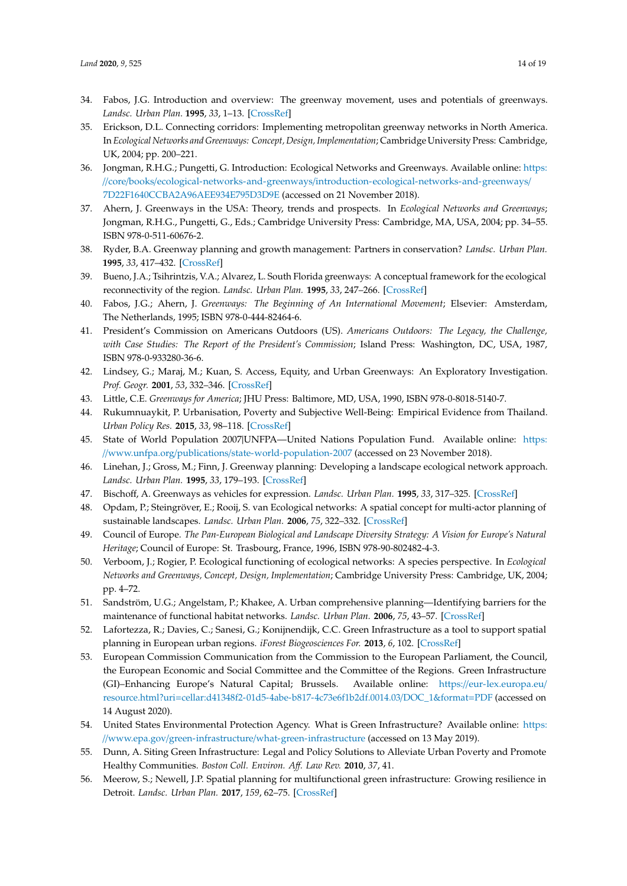- <span id="page-13-0"></span>34. Fabos, J.G. Introduction and overview: The greenway movement, uses and potentials of greenways. *Landsc. Urban Plan.* **1995**, *33*, 1–13. [\[CrossRef\]](http://dx.doi.org/10.1016/0169-2046(95)02035-R)
- 35. Erickson, D.L. Connecting corridors: Implementing metropolitan greenway networks in North America. In *Ecological Networks and Greenways: Concept, Design, Implementation*; Cambridge University Press: Cambridge, UK, 2004; pp. 200–221.
- <span id="page-13-1"></span>36. Jongman, R.H.G.; Pungetti, G. Introduction: Ecological Networks and Greenways. Available online: [https:](https://core/ books/ecological-networks-and-greenways/introduction-ecological-networks-and-greenways/7D22F1640CCBA2A96AEE934E795D3D9E) //core/books/ecological-networks-and-greenways/[introduction-ecological-networks-and-greenways](https://core/ books/ecological-networks-and-greenways/introduction-ecological-networks-and-greenways/7D22F1640CCBA2A96AEE934E795D3D9E)/ [7D22F1640CCBA2A96AEE934E795D3D9E](https://core/ books/ecological-networks-and-greenways/introduction-ecological-networks-and-greenways/7D22F1640CCBA2A96AEE934E795D3D9E) (accessed on 21 November 2018).
- <span id="page-13-2"></span>37. Ahern, J. Greenways in the USA: Theory, trends and prospects. In *Ecological Networks and Greenways*; Jongman, R.H.G., Pungetti, G., Eds.; Cambridge University Press: Cambridge, MA, USA, 2004; pp. 34–55. ISBN 978-0-511-60676-2.
- <span id="page-13-3"></span>38. Ryder, B.A. Greenway planning and growth management: Partners in conservation? *Landsc. Urban Plan.* **1995**, *33*, 417–432. [\[CrossRef\]](http://dx.doi.org/10.1016/0169-2046(94)02032-B)
- <span id="page-13-4"></span>39. Bueno, J.A.; Tsihrintzis, V.A.; Alvarez, L. South Florida greenways: A conceptual framework for the ecological reconnectivity of the region. *Landsc. Urban Plan.* **1995**, *33*, 247–266. [\[CrossRef\]](http://dx.doi.org/10.1016/0169-2046(94)02021-7)
- <span id="page-13-5"></span>40. Fabos, J.G.; Ahern, J. *Greenways: The Beginning of An International Movement*; Elsevier: Amsterdam, The Netherlands, 1995; ISBN 978-0-444-82464-6.
- <span id="page-13-6"></span>41. President's Commission on Americans Outdoors (US). *Americans Outdoors: The Legacy, the Challenge, with Case Studies: The Report of the President's Commission*; Island Press: Washington, DC, USA, 1987, ISBN 978-0-933280-36-6.
- <span id="page-13-7"></span>42. Lindsey, G.; Maraj, M.; Kuan, S. Access, Equity, and Urban Greenways: An Exploratory Investigation. *Prof. Geogr.* **2001**, *53*, 332–346. [\[CrossRef\]](http://dx.doi.org/10.1111/0033-0124.00288)
- <span id="page-13-8"></span>43. Little, C.E. *Greenways for America*; JHU Press: Baltimore, MD, USA, 1990, ISBN 978-0-8018-5140-7.
- <span id="page-13-9"></span>44. Rukumnuaykit, P. Urbanisation, Poverty and Subjective Well-Being: Empirical Evidence from Thailand. *Urban Policy Res.* **2015**, *33*, 98–118. [\[CrossRef\]](http://dx.doi.org/10.1080/08111146.2014.980901)
- <span id="page-13-10"></span>45. State of World Population 2007|UNFPA—United Nations Population Fund. Available online: [https:](https://www.unfpa.org/publications/state-world-population-2007) //www.unfpa.org/publications/[state-world-population-2007](https://www.unfpa.org/publications/state-world-population-2007) (accessed on 23 November 2018).
- <span id="page-13-11"></span>46. Linehan, J.; Gross, M.; Finn, J. Greenway planning: Developing a landscape ecological network approach. *Landsc. Urban Plan.* **1995**, *33*, 179–193. [\[CrossRef\]](http://dx.doi.org/10.1016/0169-2046(94)02017-A)
- <span id="page-13-12"></span>47. Bischoff, A. Greenways as vehicles for expression. *Landsc. Urban Plan.* **1995**, *33*, 317–325. [\[CrossRef\]](http://dx.doi.org/10.1016/0169-2046(94)02025-B)
- <span id="page-13-13"></span>48. Opdam, P.; Steingröver, E.; Rooij, S. van Ecological networks: A spatial concept for multi-actor planning of sustainable landscapes. *Landsc. Urban Plan.* **2006**, *75*, 322–332. [\[CrossRef\]](http://dx.doi.org/10.1016/j.landurbplan.2005.02.015)
- <span id="page-13-14"></span>49. Council of Europe. *The Pan-European Biological and Landscape Diversity Strategy: A Vision for Europe's Natural Heritage*; Council of Europe: St. Trasbourg, France, 1996, ISBN 978-90-802482-4-3.
- <span id="page-13-15"></span>50. Verboom, J.; Rogier, P. Ecological functioning of ecological networks: A species perspective. In *Ecological Networks and Greenways, Concept, Design, Implementation*; Cambridge University Press: Cambridge, UK, 2004; pp. 4–72.
- <span id="page-13-16"></span>51. Sandström, U.G.; Angelstam, P.; Khakee, A. Urban comprehensive planning—Identifying barriers for the maintenance of functional habitat networks. *Landsc. Urban Plan.* **2006**, *75*, 43–57. [\[CrossRef\]](http://dx.doi.org/10.1016/j.landurbplan.2004.11.016)
- <span id="page-13-17"></span>52. Lafortezza, R.; Davies, C.; Sanesi, G.; Konijnendijk, C.C. Green Infrastructure as a tool to support spatial planning in European urban regions. *iForest Biogeosciences For.* **2013**, *6*, 102. [\[CrossRef\]](http://dx.doi.org/10.3832/ifor0723-006)
- <span id="page-13-18"></span>53. European Commission Communication from the Commission to the European Parliament, the Council, the European Economic and Social Committee and the Committee of the Regions. Green Infrastructure (GI)–Enhancing Europe's Natural Capital; Brussels. Available online: https://[eur-lex.europa.eu](https://eur-lex.europa.eu/resource.html?uri=cellar:d41348f2-01d5-4abe-b817-4c73e6f1b2df.0014.03/DOC_1&format=PDF)/ resource.html?uri=[cellar:d41348f2-01d5-4abe-b817-4c73e6f1b2df.0014.03](https://eur-lex.europa.eu/resource.html?uri=cellar:d41348f2-01d5-4abe-b817-4c73e6f1b2df.0014.03/DOC_1&format=PDF)/DOC\_1&format=PDF (accessed on 14 August 2020).
- <span id="page-13-19"></span>54. United States Environmental Protection Agency. What is Green Infrastructure? Available online: [https:](https://www.epa.gov/green-infrastructure/what-green-infrastructure) //www.epa.gov/green-infrastructure/[what-green-infrastructure](https://www.epa.gov/green-infrastructure/what-green-infrastructure) (accessed on 13 May 2019).
- <span id="page-13-20"></span>55. Dunn, A. Siting Green Infrastructure: Legal and Policy Solutions to Alleviate Urban Poverty and Promote Healthy Communities. *Boston Coll. Environ. A*ff*. Law Rev.* **2010**, *37*, 41.
- 56. Meerow, S.; Newell, J.P. Spatial planning for multifunctional green infrastructure: Growing resilience in Detroit. *Landsc. Urban Plan.* **2017**, *159*, 62–75. [\[CrossRef\]](http://dx.doi.org/10.1016/j.landurbplan.2016.10.005)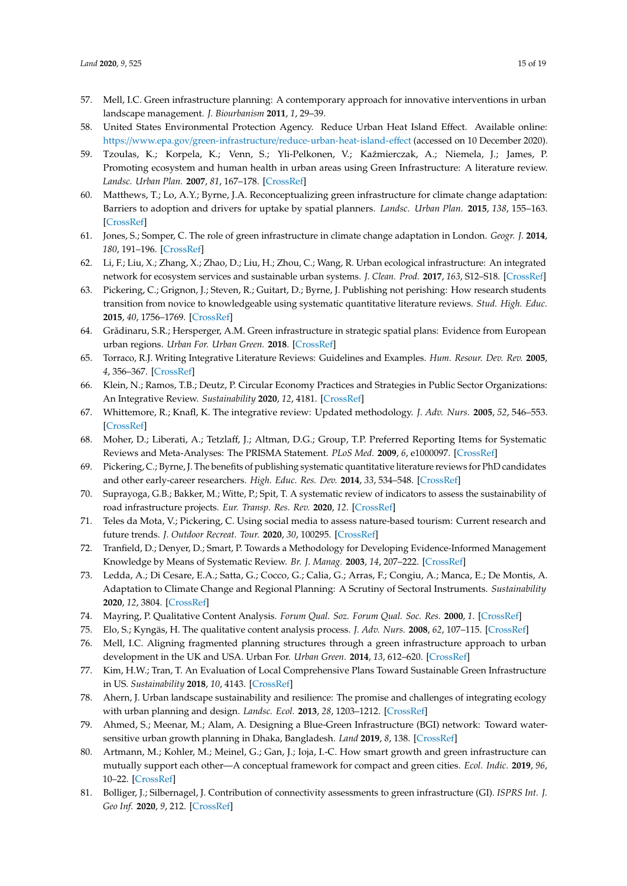- <span id="page-14-0"></span>57. Mell, I.C. Green infrastructure planning: A contemporary approach for innovative interventions in urban landscape management. *J. Biourbanism* **2011**, *1*, 29–39.
- <span id="page-14-1"></span>58. United States Environmental Protection Agency. Reduce Urban Heat Island Effect. Available online: https://www.epa.gov/green-infrastructure/[reduce-urban-heat-island-e](https://www.epa.gov/green-infrastructure/reduce-urban-heat-island-effect)ffect (accessed on 10 December 2020).
- <span id="page-14-2"></span>59. Tzoulas, K.; Korpela, K.; Venn, S.; Yli-Pelkonen, V.; Kaźmierczak, A.; Niemela, J.; James, P. Promoting ecosystem and human health in urban areas using Green Infrastructure: A literature review. *Landsc. Urban Plan.* **2007**, *81*, 167–178. [\[CrossRef\]](http://dx.doi.org/10.1016/j.landurbplan.2007.02.001)
- <span id="page-14-3"></span>60. Matthews, T.; Lo, A.Y.; Byrne, J.A. Reconceptualizing green infrastructure for climate change adaptation: Barriers to adoption and drivers for uptake by spatial planners. *Landsc. Urban Plan.* **2015**, *138*, 155–163. [\[CrossRef\]](http://dx.doi.org/10.1016/j.landurbplan.2015.02.010)
- <span id="page-14-4"></span>61. Jones, S.; Somper, C. The role of green infrastructure in climate change adaptation in London. *Geogr. J.* **2014**, *180*, 191–196. [\[CrossRef\]](http://dx.doi.org/10.1111/geoj.12059)
- <span id="page-14-5"></span>62. Li, F.; Liu, X.; Zhang, X.; Zhao, D.; Liu, H.; Zhou, C.; Wang, R. Urban ecological infrastructure: An integrated network for ecosystem services and sustainable urban systems. *J. Clean. Prod.* **2017**, *163*, S12–S18. [\[CrossRef\]](http://dx.doi.org/10.1016/j.jclepro.2016.02.079)
- <span id="page-14-6"></span>63. Pickering, C.; Grignon, J.; Steven, R.; Guitart, D.; Byrne, J. Publishing not perishing: How research students transition from novice to knowledgeable using systematic quantitative literature reviews. *Stud. High. Educ.* **2015**, *40*, 1756–1769. [\[CrossRef\]](http://dx.doi.org/10.1080/03075079.2014.914907)
- <span id="page-14-7"></span>64. Grădinaru, S.R.; Hersperger, A.M. Green infrastructure in strategic spatial plans: Evidence from European urban regions. *Urban For. Urban Green.* **2018**. [\[CrossRef\]](http://dx.doi.org/10.1016/j.ufug.2018.04.018)
- <span id="page-14-8"></span>65. Torraco, R.J. Writing Integrative Literature Reviews: Guidelines and Examples. *Hum. Resour. Dev. Rev.* **2005**, *4*, 356–367. [\[CrossRef\]](http://dx.doi.org/10.1177/1534484305278283)
- <span id="page-14-9"></span>66. Klein, N.; Ramos, T.B.; Deutz, P. Circular Economy Practices and Strategies in Public Sector Organizations: An Integrative Review. *Sustainability* **2020**, *12*, 4181. [\[CrossRef\]](http://dx.doi.org/10.3390/su12104181)
- <span id="page-14-10"></span>67. Whittemore, R.; Knafl, K. The integrative review: Updated methodology. *J. Adv. Nurs.* **2005**, *52*, 546–553. [\[CrossRef\]](http://dx.doi.org/10.1111/j.1365-2648.2005.03621.x)
- <span id="page-14-11"></span>68. Moher, D.; Liberati, A.; Tetzlaff, J.; Altman, D.G.; Group, T.P. Preferred Reporting Items for Systematic Reviews and Meta-Analyses: The PRISMA Statement. *PLoS Med.* **2009**, *6*, e1000097. [\[CrossRef\]](http://dx.doi.org/10.1371/journal.pmed.1000097)
- <span id="page-14-13"></span>69. Pickering, C.; Byrne, J. The benefits of publishing systematic quantitative literature reviews for PhD candidates and other early-career researchers. *High. Educ. Res. Dev.* **2014**, *33*, 534–548. [\[CrossRef\]](http://dx.doi.org/10.1080/07294360.2013.841651)
- 70. Suprayoga, G.B.; Bakker, M.; Witte, P.; Spit, T. A systematic review of indicators to assess the sustainability of road infrastructure projects. *Eur. Transp. Res. Rev.* **2020**, *12*. [\[CrossRef\]](http://dx.doi.org/10.1186/s12544-020-0400-6)
- 71. Teles da Mota, V.; Pickering, C. Using social media to assess nature-based tourism: Current research and future trends. *J. Outdoor Recreat. Tour.* **2020**, *30*, 100295. [\[CrossRef\]](http://dx.doi.org/10.1016/j.jort.2020.100295)
- <span id="page-14-12"></span>72. Tranfield, D.; Denyer, D.; Smart, P. Towards a Methodology for Developing Evidence-Informed Management Knowledge by Means of Systematic Review. *Br. J. Manag.* **2003**, *14*, 207–222. [\[CrossRef\]](http://dx.doi.org/10.1111/1467-8551.00375)
- <span id="page-14-14"></span>73. Ledda, A.; Di Cesare, E.A.; Satta, G.; Cocco, G.; Calia, G.; Arras, F.; Congiu, A.; Manca, E.; De Montis, A. Adaptation to Climate Change and Regional Planning: A Scrutiny of Sectoral Instruments. *Sustainability* **2020**, *12*, 3804. [\[CrossRef\]](http://dx.doi.org/10.3390/su12093804)
- <span id="page-14-15"></span>74. Mayring, P. Qualitative Content Analysis. *Forum Qual. Soz. Forum Qual. Soc. Res.* **2000**, *1*. [\[CrossRef\]](http://dx.doi.org/10.17169/fqs-1.2.1089)
- <span id="page-14-16"></span>75. Elo, S.; Kyngäs, H. The qualitative content analysis process. *J. Adv. Nurs.* **2008**, *62*, 107–115. [\[CrossRef\]](http://dx.doi.org/10.1111/j.1365-2648.2007.04569.x)
- <span id="page-14-17"></span>76. Mell, I.C. Aligning fragmented planning structures through a green infrastructure approach to urban development in the UK and USA. Urban For. *Urban Green.* **2014**, *13*, 612–620. [\[CrossRef\]](http://dx.doi.org/10.1016/j.ufug.2014.07.007)
- <span id="page-14-18"></span>77. Kim, H.W.; Tran, T. An Evaluation of Local Comprehensive Plans Toward Sustainable Green Infrastructure in US. *Sustainability* **2018**, *10*, 4143. [\[CrossRef\]](http://dx.doi.org/10.3390/su10114143)
- <span id="page-14-19"></span>78. Ahern, J. Urban landscape sustainability and resilience: The promise and challenges of integrating ecology with urban planning and design. *Landsc. Ecol.* **2013**, *28*, 1203–1212. [\[CrossRef\]](http://dx.doi.org/10.1007/s10980-012-9799-z)
- <span id="page-14-21"></span>79. Ahmed, S.; Meenar, M.; Alam, A. Designing a Blue-Green Infrastructure (BGI) network: Toward watersensitive urban growth planning in Dhaka, Bangladesh. *Land* **2019**, *8*, 138. [\[CrossRef\]](http://dx.doi.org/10.3390/land8090138)
- <span id="page-14-20"></span>80. Artmann, M.; Kohler, M.; Meinel, G.; Gan, J.; Ioja, I.-C. How smart growth and green infrastructure can mutually support each other—A conceptual framework for compact and green cities. *Ecol. Indic.* **2019**, *96*, 10–22. [\[CrossRef\]](http://dx.doi.org/10.1016/j.ecolind.2017.07.001)
- <span id="page-14-22"></span>81. Bolliger, J.; Silbernagel, J. Contribution of connectivity assessments to green infrastructure (GI). *ISPRS Int. J. Geo Inf.* **2020**, *9*, 212. [\[CrossRef\]](http://dx.doi.org/10.3390/ijgi9040212)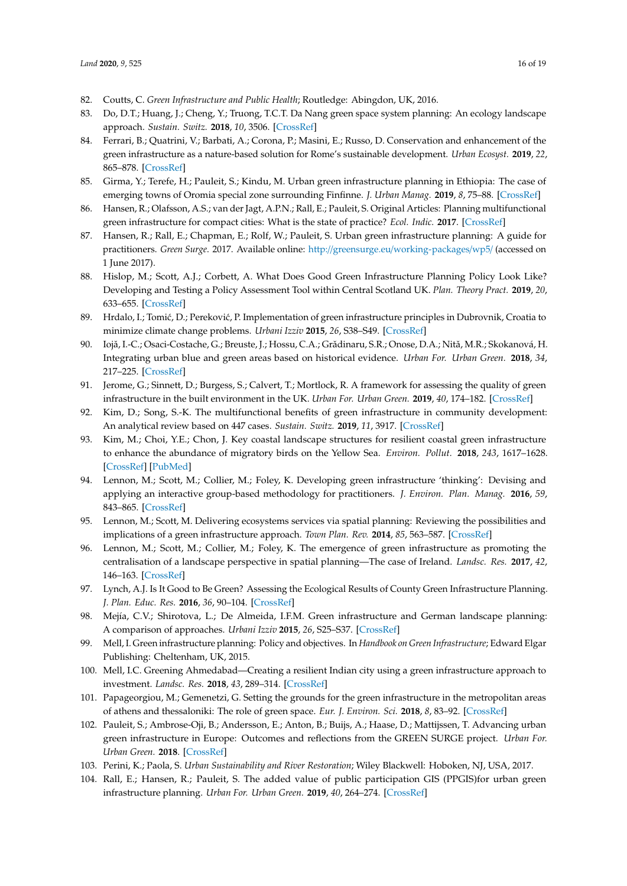- <span id="page-15-0"></span>82. Coutts, C. *Green Infrastructure and Public Health*; Routledge: Abingdon, UK, 2016.
- 83. Do, D.T.; Huang, J.; Cheng, Y.; Truong, T.C.T. Da Nang green space system planning: An ecology landscape approach. *Sustain. Switz.* **2018**, *10*, 3506. [\[CrossRef\]](http://dx.doi.org/10.3390/su10103506)
- <span id="page-15-6"></span>84. Ferrari, B.; Quatrini, V.; Barbati, A.; Corona, P.; Masini, E.; Russo, D. Conservation and enhancement of the green infrastructure as a nature-based solution for Rome's sustainable development. *Urban Ecosyst.* **2019**, *22*, 865–878. [\[CrossRef\]](http://dx.doi.org/10.1007/s11252-019-00868-4)
- <span id="page-15-1"></span>85. Girma, Y.; Terefe, H.; Pauleit, S.; Kindu, M. Urban green infrastructure planning in Ethiopia: The case of emerging towns of Oromia special zone surrounding Finfinne. *J. Urban Manag.* **2019**, *8*, 75–88. [\[CrossRef\]](http://dx.doi.org/10.1016/j.jum.2018.09.004)
- <span id="page-15-20"></span>86. Hansen, R.; Olafsson, A.S.; van der Jagt, A.P.N.; Rall, E.; Pauleit, S. Original Articles: Planning multifunctional green infrastructure for compact cities: What is the state of practice? *Ecol. Indic.* **2017**. [\[CrossRef\]](http://dx.doi.org/10.1016/j.ecolind.2017.09.042)
- <span id="page-15-11"></span>87. Hansen, R.; Rall, E.; Chapman, E.; Rolf, W.; Pauleit, S. Urban green infrastructure planning: A guide for practitioners. *Green Surge*. 2017. Available online: http://greensurge.eu/[working-packages](http://greensurge.eu/working-packages/wp5/)/wp5/ (accessed on 1 June 2017).
- <span id="page-15-7"></span>88. Hislop, M.; Scott, A.J.; Corbett, A. What Does Good Green Infrastructure Planning Policy Look Like? Developing and Testing a Policy Assessment Tool within Central Scotland UK. *Plan. Theory Pract.* **2019**, *20*, 633–655. [\[CrossRef\]](http://dx.doi.org/10.1080/14649357.2019.1678667)
- <span id="page-15-14"></span>89. Hrdalo, I.; Tomić, D.; Pereković, P. Implementation of green infrastructure principles in Dubrovnik, Croatia to minimize climate change problems. *Urbani Izziv* **2015**, *26*, S38–S49. [\[CrossRef\]](http://dx.doi.org/10.5379/urbani-izziv-en-2015-26-supplement-003)
- <span id="page-15-17"></span>90. Iojă, I.-C.; Osaci-Costache, G.; Breuste, J.; Hossu, C.A.; Grădinaru, S.R.; Onose, D.A.; Nită, M.R.; Skokanová, H. Integrating urban blue and green areas based on historical evidence. *Urban For. Urban Green.* **2018**, *34*, 217–225. [\[CrossRef\]](http://dx.doi.org/10.1016/j.ufug.2018.07.001)
- <span id="page-15-8"></span>91. Jerome, G.; Sinnett, D.; Burgess, S.; Calvert, T.; Mortlock, R. A framework for assessing the quality of green infrastructure in the built environment in the UK. *Urban For. Urban Green.* **2019**, *40*, 174–182. [\[CrossRef\]](http://dx.doi.org/10.1016/j.ufug.2019.04.001)
- <span id="page-15-15"></span>92. Kim, D.; Song, S.-K. The multifunctional benefits of green infrastructure in community development: An analytical review based on 447 cases. *Sustain. Switz.* **2019**, *11*, 3917. [\[CrossRef\]](http://dx.doi.org/10.3390/su11143917)
- 93. Kim, M.; Choi, Y.E.; Chon, J. Key coastal landscape structures for resilient coastal green infrastructure to enhance the abundance of migratory birds on the Yellow Sea. *Environ. Pollut.* **2018**, *243*, 1617–1628. [\[CrossRef\]](http://dx.doi.org/10.1016/j.envpol.2018.08.081) [\[PubMed\]](http://www.ncbi.nlm.nih.gov/pubmed/30296758)
- <span id="page-15-18"></span>94. Lennon, M.; Scott, M.; Collier, M.; Foley, K. Developing green infrastructure 'thinking': Devising and applying an interactive group-based methodology for practitioners. *J. Environ. Plan. Manag.* **2016**, *59*, 843–865. [\[CrossRef\]](http://dx.doi.org/10.1080/09640568.2015.1042152)
- <span id="page-15-9"></span>95. Lennon, M.; Scott, M. Delivering ecosystems services via spatial planning: Reviewing the possibilities and implications of a green infrastructure approach. *Town Plan. Rev.* **2014**, *85*, 563–587. [\[CrossRef\]](http://dx.doi.org/10.3828/tpr.2014.35)
- <span id="page-15-2"></span>96. Lennon, M.; Scott, M.; Collier, M.; Foley, K. The emergence of green infrastructure as promoting the centralisation of a landscape perspective in spatial planning—The case of Ireland. *Landsc. Res.* **2017**, *42*, 146–163. [\[CrossRef\]](http://dx.doi.org/10.1080/01426397.2016.1229460)
- <span id="page-15-16"></span>97. Lynch, A.J. Is It Good to Be Green? Assessing the Ecological Results of County Green Infrastructure Planning. *J. Plan. Educ. Res.* **2016**, *36*, 90–104. [\[CrossRef\]](http://dx.doi.org/10.1177/0739456X15598615)
- <span id="page-15-3"></span>98. Mejía, C.V.; Shirotova, L.; De Almeida, I.F.M. Green infrastructure and German landscape planning: A comparison of approaches. *Urbani Izziv* **2015**, *26*, S25–S37. [\[CrossRef\]](http://dx.doi.org/10.5379/urbani-izziv-en-2015-26-supplement-002)
- <span id="page-15-4"></span>99. Mell, I. Green infrastructure planning: Policy and objectives. In *Handbook on Green Infrastructure*; Edward Elgar Publishing: Cheltenham, UK, 2015.
- <span id="page-15-19"></span>100. Mell, I.C. Greening Ahmedabad—Creating a resilient Indian city using a green infrastructure approach to investment. *Landsc. Res.* **2018**, *43*, 289–314. [\[CrossRef\]](http://dx.doi.org/10.1080/01426397.2017.1314452)
- <span id="page-15-5"></span>101. Papageorgiou, M.; Gemenetzi, G. Setting the grounds for the green infrastructure in the metropolitan areas of athens and thessaloniki: The role of green space. *Eur. J. Environ. Sci.* **2018**, *8*, 83–92. [\[CrossRef\]](http://dx.doi.org/10.14712/23361964.2018.12)
- <span id="page-15-12"></span>102. Pauleit, S.; Ambrose-Oji, B.; Andersson, E.; Anton, B.; Buijs, A.; Haase, D.; Mattijssen, T. Advancing urban green infrastructure in Europe: Outcomes and reflections from the GREEN SURGE project. *Urban For. Urban Green.* **2018**. [\[CrossRef\]](http://dx.doi.org/10.1016/j.ufug.2018.10.006)
- <span id="page-15-10"></span>103. Perini, K.; Paola, S. *Urban Sustainability and River Restoration*; Wiley Blackwell: Hoboken, NJ, USA, 2017.
- <span id="page-15-13"></span>104. Rall, E.; Hansen, R.; Pauleit, S. The added value of public participation GIS (PPGIS)for urban green infrastructure planning. *Urban For. Urban Green.* **2019**, *40*, 264–274. [\[CrossRef\]](http://dx.doi.org/10.1016/j.ufug.2018.06.016)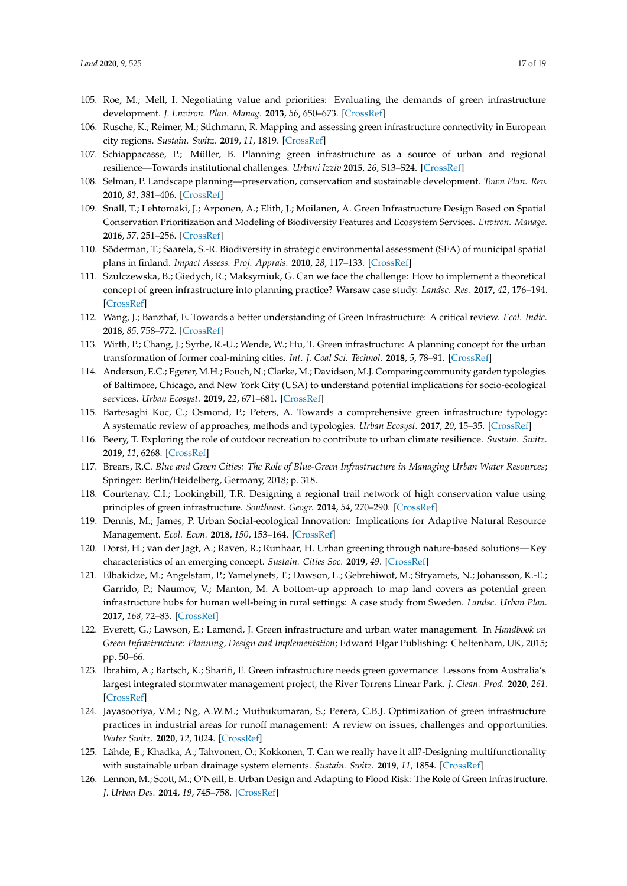- <span id="page-16-1"></span>105. Roe, M.; Mell, I. Negotiating value and priorities: Evaluating the demands of green infrastructure development. *J. Environ. Plan. Manag.* **2013**, *56*, 650–673. [\[CrossRef\]](http://dx.doi.org/10.1080/09640568.2012.693454)
- <span id="page-16-14"></span>106. Rusche, K.; Reimer, M.; Stichmann, R. Mapping and assessing green infrastructure connectivity in European city regions. *Sustain. Switz.* **2019**, *11*, 1819. [\[CrossRef\]](http://dx.doi.org/10.3390/su11061819)
- <span id="page-16-2"></span>107. Schiappacasse, P.; Müller, B. Planning green infrastructure as a source of urban and regional resilience—Towards institutional challenges. *Urbani Izziv* **2015**, *26*, S13–S24. [\[CrossRef\]](http://dx.doi.org/10.5379/urbani-izziv-en-2015-26-supplement-001)
- <span id="page-16-3"></span>108. Selman, P. Landscape planning—preservation, conservation and sustainable development. *Town Plan. Rev.* **2010**, *81*, 381–406. [\[CrossRef\]](http://dx.doi.org/10.3828/tpr.2010.13)
- 109. Snäll, T.; Lehtomäki, J.; Arponen, A.; Elith, J.; Moilanen, A. Green Infrastructure Design Based on Spatial Conservation Prioritization and Modeling of Biodiversity Features and Ecosystem Services. *Environ. Manage.* **2016**, *57*, 251–256. [\[CrossRef\]](http://dx.doi.org/10.1007/s00267-015-0613-y)
- <span id="page-16-4"></span>110. Söderman, T.; Saarela, S.-R. Biodiversity in strategic environmental assessment (SEA) of municipal spatial plans in finland. *Impact Assess. Proj. Apprais.* **2010**, *28*, 117–133. [\[CrossRef\]](http://dx.doi.org/10.3152/146155110X498834)
- <span id="page-16-5"></span>111. Szulczewska, B.; Giedych, R.; Maksymiuk, G. Can we face the challenge: How to implement a theoretical concept of green infrastructure into planning practice? Warsaw case study. *Landsc. Res.* **2017**, *42*, 176–194. [\[CrossRef\]](http://dx.doi.org/10.1080/01426397.2016.1240764)
- 112. Wang, J.; Banzhaf, E. Towards a better understanding of Green Infrastructure: A critical review. *Ecol. Indic.* **2018**, *85*, 758–772. [\[CrossRef\]](http://dx.doi.org/10.1016/j.ecolind.2017.09.018)
- <span id="page-16-0"></span>113. Wirth, P.; Chang, J.; Syrbe, R.-U.; Wende, W.; Hu, T. Green infrastructure: A planning concept for the urban transformation of former coal-mining cities. *Int. J. Coal Sci. Technol.* **2018**, *5*, 78–91. [\[CrossRef\]](http://dx.doi.org/10.1007/s40789-018-0200-y)
- <span id="page-16-6"></span>114. Anderson, E.C.; Egerer, M.H.; Fouch, N.; Clarke, M.; Davidson, M.J. Comparing community garden typologies of Baltimore, Chicago, and New York City (USA) to understand potential implications for socio-ecological services. *Urban Ecosyst.* **2019**, *22*, 671–681. [\[CrossRef\]](http://dx.doi.org/10.1007/s11252-019-00855-9)
- <span id="page-16-9"></span>115. Bartesaghi Koc, C.; Osmond, P.; Peters, A. Towards a comprehensive green infrastructure typology: A systematic review of approaches, methods and typologies. *Urban Ecosyst.* **2017**, *20*, 15–35. [\[CrossRef\]](http://dx.doi.org/10.1007/s11252-016-0578-5)
- 116. Beery, T. Exploring the role of outdoor recreation to contribute to urban climate resilience. *Sustain. Switz.* **2019**, *11*, 6268. [\[CrossRef\]](http://dx.doi.org/10.3390/su11226268)
- <span id="page-16-11"></span>117. Brears, R.C. *Blue and Green Cities: The Role of Blue-Green Infrastructure in Managing Urban Water Resources*; Springer: Berlin/Heidelberg, Germany, 2018; p. 318.
- 118. Courtenay, C.I.; Lookingbill, T.R. Designing a regional trail network of high conservation value using principles of green infrastructure. *Southeast. Geogr.* **2014**, *54*, 270–290. [\[CrossRef\]](http://dx.doi.org/10.1353/sgo.2014.0023)
- <span id="page-16-13"></span>119. Dennis, M.; James, P. Urban Social-ecological Innovation: Implications for Adaptive Natural Resource Management. *Ecol. Econ.* **2018**, *150*, 153–164. [\[CrossRef\]](http://dx.doi.org/10.1016/j.ecolecon.2018.04.005)
- <span id="page-16-8"></span>120. Dorst, H.; van der Jagt, A.; Raven, R.; Runhaar, H. Urban greening through nature-based solutions—Key characteristics of an emerging concept. *Sustain. Cities Soc.* **2019**, *49*. [\[CrossRef\]](http://dx.doi.org/10.1016/j.scs.2019.101620)
- 121. Elbakidze, M.; Angelstam, P.; Yamelynets, T.; Dawson, L.; Gebrehiwot, M.; Stryamets, N.; Johansson, K.-E.; Garrido, P.; Naumov, V.; Manton, M. A bottom-up approach to map land covers as potential green infrastructure hubs for human well-being in rural settings: A case study from Sweden. *Landsc. Urban Plan.* **2017**, *168*, 72–83. [\[CrossRef\]](http://dx.doi.org/10.1016/j.landurbplan.2017.09.031)
- 122. Everett, G.; Lawson, E.; Lamond, J. Green infrastructure and urban water management. In *Handbook on Green Infrastructure: Planning, Design and Implementation*; Edward Elgar Publishing: Cheltenham, UK, 2015; pp. 50–66.
- 123. Ibrahim, A.; Bartsch, K.; Sharifi, E. Green infrastructure needs green governance: Lessons from Australia's largest integrated stormwater management project, the River Torrens Linear Park. *J. Clean. Prod.* **2020**, *261*. [\[CrossRef\]](http://dx.doi.org/10.1016/j.jclepro.2020.121202)
- <span id="page-16-7"></span>124. Jayasooriya, V.M.; Ng, A.W.M.; Muthukumaran, S.; Perera, C.B.J. Optimization of green infrastructure practices in industrial areas for runoff management: A review on issues, challenges and opportunities. *Water Switz.* **2020**, *12*, 1024. [\[CrossRef\]](http://dx.doi.org/10.3390/w12041024)
- <span id="page-16-10"></span>125. Lähde, E.; Khadka, A.; Tahvonen, O.; Kokkonen, T. Can we really have it all?-Designing multifunctionality with sustainable urban drainage system elements. *Sustain. Switz.* **2019**, *11*, 1854. [\[CrossRef\]](http://dx.doi.org/10.3390/su11071854)
- <span id="page-16-12"></span>126. Lennon, M.; Scott, M.; O'Neill, E. Urban Design and Adapting to Flood Risk: The Role of Green Infrastructure. *J. Urban Des.* **2014**, *19*, 745–758. [\[CrossRef\]](http://dx.doi.org/10.1080/13574809.2014.944113)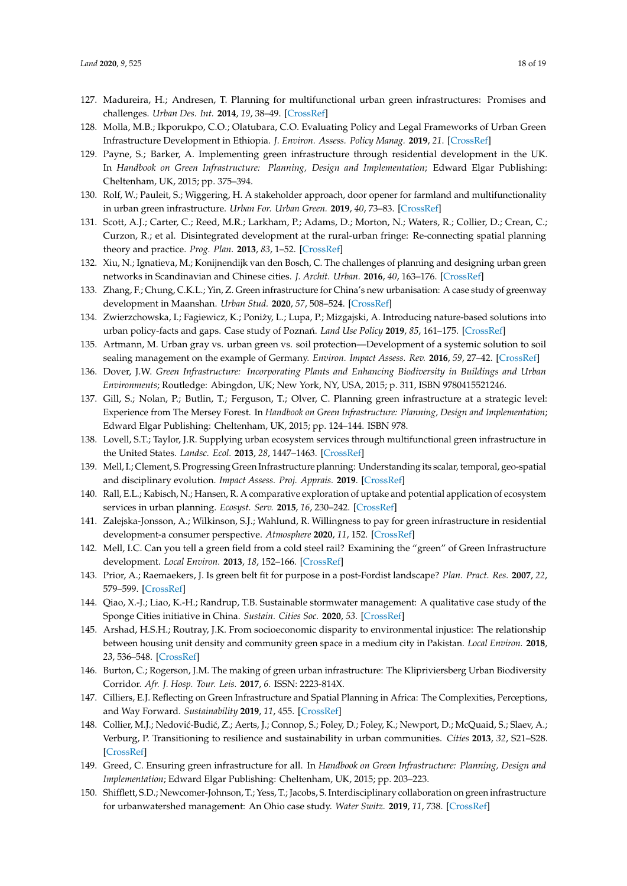- <span id="page-17-19"></span>127. Madureira, H.; Andresen, T. Planning for multifunctional urban green infrastructures: Promises and challenges. *Urban Des. Int.* **2014**, *19*, 38–49. [\[CrossRef\]](http://dx.doi.org/10.1057/udi.2013.11)
- <span id="page-17-5"></span>128. Molla, M.B.; Ikporukpo, C.O.; Olatubara, C.O. Evaluating Policy and Legal Frameworks of Urban Green Infrastructure Development in Ethiopia. *J. Environ. Assess. Policy Manag.* **2019**, *21*. [\[CrossRef\]](http://dx.doi.org/10.1142/S1464333219500169)
- <span id="page-17-1"></span>129. Payne, S.; Barker, A. Implementing green infrastructure through residential development in the UK. In *Handbook on Green Infrastructure: Planning, Design and Implementation*; Edward Elgar Publishing: Cheltenham, UK, 2015; pp. 375–394.
- <span id="page-17-14"></span>130. Rolf, W.; Pauleit, S.; Wiggering, H. A stakeholder approach, door opener for farmland and multifunctionality in urban green infrastructure. *Urban For. Urban Green.* **2019**, *40*, 73–83. [\[CrossRef\]](http://dx.doi.org/10.1016/j.ufug.2018.07.012)
- <span id="page-17-15"></span>131. Scott, A.J.; Carter, C.; Reed, M.R.; Larkham, P.; Adams, D.; Morton, N.; Waters, R.; Collier, D.; Crean, C.; Curzon, R.; et al. Disintegrated development at the rural-urban fringe: Re-connecting spatial planning theory and practice. *Prog. Plan.* **2013**, *83*, 1–52. [\[CrossRef\]](http://dx.doi.org/10.1016/j.progress.2012.09.001)
- <span id="page-17-2"></span>132. Xiu, N.; Ignatieva, M.; Konijnendijk van den Bosch, C. The challenges of planning and designing urban green networks in Scandinavian and Chinese cities. *J. Archit. Urban.* **2016**, *40*, 163–176. [\[CrossRef\]](http://dx.doi.org/10.3846/20297955.2016.1210047)
- 133. Zhang, F.; Chung, C.K.L.; Yin, Z. Green infrastructure for China's new urbanisation: A case study of greenway development in Maanshan. *Urban Stud.* **2020**, *57*, 508–524. [\[CrossRef\]](http://dx.doi.org/10.1177/0042098018822965)
- <span id="page-17-0"></span>134. Zwierzchowska, I.; Fagiewicz, K.; Poniży, L.; Lupa, P.; Mizgajski, A. Introducing nature-based solutions into urban policy-facts and gaps. Case study of Poznań. *Land Use Policy* 2019, 85, 161–175. [\[CrossRef\]](http://dx.doi.org/10.1016/j.landusepol.2019.03.025)
- <span id="page-17-3"></span>135. Artmann, M. Urban gray vs. urban green vs. soil protection—Development of a systemic solution to soil sealing management on the example of Germany. *Environ. Impact Assess. Rev.* **2016**, *59*, 27–42. [\[CrossRef\]](http://dx.doi.org/10.1016/j.eiar.2016.03.004)
- <span id="page-17-6"></span>136. Dover, J.W. *Green Infrastructure: Incorporating Plants and Enhancing Biodiversity in Buildings and Urban Environments*; Routledge: Abingdon, UK; New York, NY, USA, 2015; p. 311, ISBN 9780415521246.
- 137. Gill, S.; Nolan, P.; Butlin, T.; Ferguson, T.; Olver, C. Planning green infrastructure at a strategic level: Experience from The Mersey Forest. In *Handbook on Green Infrastructure: Planning, Design and Implementation*; Edward Elgar Publishing: Cheltenham, UK, 2015; pp. 124–144. ISBN 978.
- <span id="page-17-9"></span>138. Lovell, S.T.; Taylor, J.R. Supplying urban ecosystem services through multifunctional green infrastructure in the United States. *Landsc. Ecol.* **2013**, *28*, 1447–1463. [\[CrossRef\]](http://dx.doi.org/10.1007/s10980-013-9912-y)
- <span id="page-17-16"></span>139. Mell, I.; Clement, S. Progressing Green Infrastructure planning: Understanding its scalar, temporal, geo-spatial and disciplinary evolution. *Impact Assess. Proj. Apprais.* **2019**. [\[CrossRef\]](http://dx.doi.org/10.1080/14615517.2019.1617517)
- <span id="page-17-11"></span>140. Rall, E.L.; Kabisch, N.; Hansen, R. A comparative exploration of uptake and potential application of ecosystem services in urban planning. *Ecosyst. Serv.* **2015**, *16*, 230–242. [\[CrossRef\]](http://dx.doi.org/10.1016/j.ecoser.2015.10.005)
- <span id="page-17-4"></span>141. Zalejska-Jonsson, A.; Wilkinson, S.J.; Wahlund, R. Willingness to pay for green infrastructure in residential development-a consumer perspective. *Atmosphere* **2020**, *11*, 152. [\[CrossRef\]](http://dx.doi.org/10.3390/atmos11020152)
- <span id="page-17-7"></span>142. Mell, I.C. Can you tell a green field from a cold steel rail? Examining the "green" of Green Infrastructure development. *Local Environ.* **2013**, *18*, 152–166. [\[CrossRef\]](http://dx.doi.org/10.1080/13549839.2012.719019)
- <span id="page-17-17"></span>143. Prior, A.; Raemaekers, J. Is green belt fit for purpose in a post-Fordist landscape? *Plan. Pract. Res.* **2007**, *22*, 579–599. [\[CrossRef\]](http://dx.doi.org/10.1080/02697450701770100)
- <span id="page-17-8"></span>144. Qiao, X.-J.; Liao, K.-H.; Randrup, T.B. Sustainable stormwater management: A qualitative case study of the Sponge Cities initiative in China. *Sustain. Cities Soc.* **2020**, *53*. [\[CrossRef\]](http://dx.doi.org/10.1016/j.scs.2019.101963)
- <span id="page-17-10"></span>145. Arshad, H.S.H.; Routray, J.K. From socioeconomic disparity to environmental injustice: The relationship between housing unit density and community green space in a medium city in Pakistan. *Local Environ.* **2018**, *23*, 536–548. [\[CrossRef\]](http://dx.doi.org/10.1080/13549839.2018.1442424)
- <span id="page-17-18"></span>146. Burton, C.; Rogerson, J.M. The making of green urban infrastructure: The Klipriviersberg Urban Biodiversity Corridor. *Afr. J. Hosp. Tour. Leis.* **2017**, *6*. ISSN: 2223-814X.
- <span id="page-17-12"></span>147. Cilliers, E.J. Reflecting on Green Infrastructure and Spatial Planning in Africa: The Complexities, Perceptions, and Way Forward. *Sustainability* **2019**, *11*, 455. [\[CrossRef\]](http://dx.doi.org/10.3390/su11020455)
- 148. Collier, M.J.; Nedović-Budić, Z.; Aerts, J.; Connop, S.; Foley, D.; Foley, K.; Newport, D.; McQuaid, S.; Slaev, A.; Verburg, P. Transitioning to resilience and sustainability in urban communities. *Cities* **2013**, *32*, S21–S28. [\[CrossRef\]](http://dx.doi.org/10.1016/j.cities.2013.03.010)
- 149. Greed, C. Ensuring green infrastructure for all. In *Handbook on Green Infrastructure: Planning, Design and Implementation*; Edward Elgar Publishing: Cheltenham, UK, 2015; pp. 203–223.
- <span id="page-17-13"></span>150. Shifflett, S.D.; Newcomer-Johnson, T.; Yess, T.; Jacobs, S. Interdisciplinary collaboration on green infrastructure for urbanwatershed management: An Ohio case study. *Water Switz.* **2019**, *11*, 738. [\[CrossRef\]](http://dx.doi.org/10.3390/w11040738)